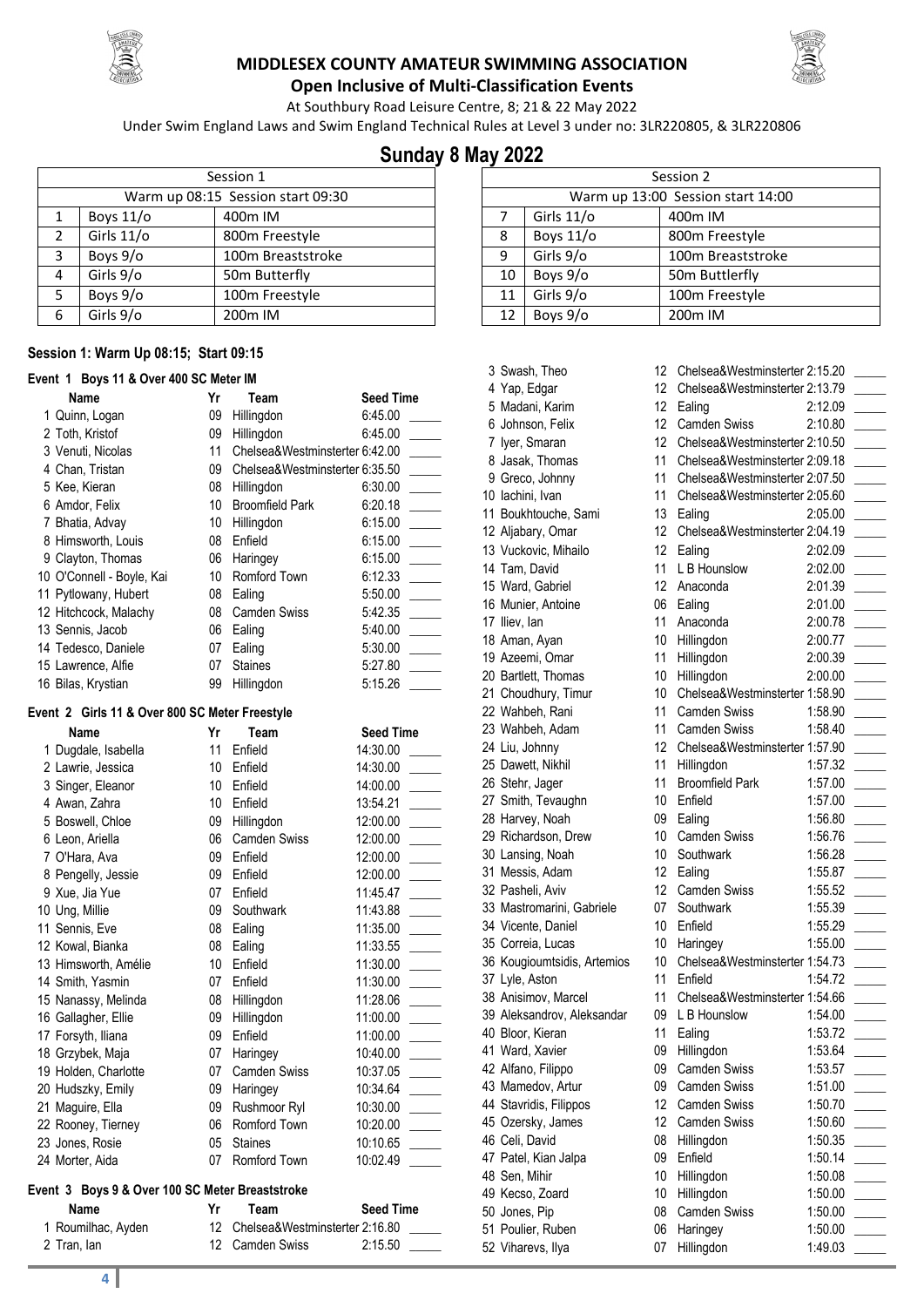



**Open Inclusive of Multi-Classification Events** At Southbury Road Leisure Centre, 8; 21& 22 May 2022

Under Swim England Laws and Swim England Technical Rules at Level 3 under no: 3LR220805, & 3LR220806

## **Sunday 8 May 2022**

| Session 1      |                                   |                           |  |  |  |
|----------------|-----------------------------------|---------------------------|--|--|--|
|                | Warm up 08:15 Session start 09:30 |                           |  |  |  |
| 1              | <b>Boys 11/o</b>                  | 400m IM                   |  |  |  |
| $\overline{2}$ | Girls 11/o                        | 800m Freestyle            |  |  |  |
| 3              | Boys 9/o                          | 100m Breaststroke         |  |  |  |
| 4              | Girls 9/o                         | 50 <sub>m</sub> Butterfly |  |  |  |
| 5              | Boys 9/o                          | 100m Freestyle            |  |  |  |
| 6              | Girls 9/o                         | 200 <sub>m</sub> IM       |  |  |  |

#### **Session 1: Warm Up 08:15; Start 09:15**

#### **Event 1 Boys 11 & Over 400 SC Meter IM**

| <b>Name</b> |                           | Yr | Team                           | <b>Seed Time</b> |
|-------------|---------------------------|----|--------------------------------|------------------|
|             | 1 Quinn, Logan            | 09 | Hillingdon                     | 6:45.00          |
|             | 2 Toth, Kristof           | 09 | Hillingdon                     | 6:45.00          |
|             | 3 Venuti, Nicolas         | 11 | Chelsea&Westminsterter 6:42.00 |                  |
|             | 4 Chan, Tristan           | 09 | Chelsea&Westminsterter 6:35.50 |                  |
|             | 5 Kee, Kieran             | 08 | Hillingdon                     | 6:30.00          |
|             | 6 Amdor, Felix            | 10 | <b>Broomfield Park</b>         | 6:20.18          |
|             | 7 Bhatia, Advay           | 10 | Hillingdon                     | 6:15.00          |
|             | 8 Himsworth, Louis        | 08 | Enfield                        | 6:15.00          |
|             | 9 Clayton, Thomas         | 06 | Haringey                       | 6:15.00          |
|             | 10 O'Connell - Boyle, Kai | 10 | Romford Town                   | 6:12.33          |
|             | 11 Pytlowany, Hubert      | 08 | Ealing                         | 5:50.00          |
|             | 12 Hitchcock, Malachy     | 08 | <b>Camden Swiss</b>            | 5:42.35          |
|             | 13 Sennis, Jacob          | 06 | Ealing                         | 5:40.00          |
|             | 14 Tedesco, Daniele       | 07 | Ealing                         | 5:30.00          |
|             | 15 Lawrence, Alfie        | 07 | <b>Staines</b>                 | 5:27.80          |
|             | 16 Bilas, Krystian        | 99 | Hillingdon                     | 5:15.26          |

#### **Event 2 Girls 11 & Over 800 SC Meter Freestyle**

| Name |                      | Yr | Team           | <b>Seed Time</b> |  |
|------|----------------------|----|----------------|------------------|--|
|      | 1 Dugdale, Isabella  | 11 | Enfield        | 14:30.00         |  |
|      | 2 Lawrie, Jessica    | 10 | Enfield        | 14:30.00         |  |
|      | 3 Singer, Eleanor    | 10 | Enfield        | 14:00.00         |  |
|      | 4 Awan, Zahra        | 10 | Enfield        | 13:54.21         |  |
|      | 5 Boswell, Chloe     | 09 | Hillingdon     | 12:00.00         |  |
|      | 6 Leon, Ariella      | 06 | Camden Swiss   | 12:00.00         |  |
|      | 7 O'Hara, Ava        | 09 | Enfield        | 12:00.00         |  |
|      | 8 Pengelly, Jessie   | 09 | Enfield        | 12:00.00         |  |
|      | 9 Xue, Jia Yue       | 07 | Enfield        | 11:45.47         |  |
|      | 10 Ung, Millie       | 09 | Southwark      | 11:43.88         |  |
|      | 11 Sennis, Eve       | 08 | Ealing         | 11:35.00         |  |
|      | 12 Kowal, Bianka     | 08 | Ealing         | 11:33.55         |  |
|      | 13 Himsworth, Amélie | 10 | Enfield        | 11:30.00         |  |
|      | 14 Smith, Yasmin     | 07 | Enfield        | 11:30.00         |  |
|      | 15 Nanassy, Melinda  | 08 | Hillingdon     | 11:28.06         |  |
|      | 16 Gallagher, Ellie  | 09 | Hillingdon     | 11:00.00         |  |
|      | 17 Forsyth, Iliana   | 09 | Enfield        | 11:00.00         |  |
|      | 18 Grzybek, Maja     | 07 | Haringey       | 10:40.00         |  |
|      | 19 Holden, Charlotte | 07 | Camden Swiss   | 10:37.05         |  |
|      | 20 Hudszky, Emily    | 09 | Haringey       | 10:34.64         |  |
|      | 21 Maguire, Ella     | 09 | Rushmoor Ryl   | 10:30.00         |  |
|      | 22 Rooney, Tierney   | 06 | Romford Town   | 10:20.00         |  |
|      | 23 Jones, Rosie      | 05 | <b>Staines</b> | 10:10.65         |  |
|      | 24 Morter, Aida      | 07 | Romford Town   | 10:02.49         |  |
|      |                      |    |                |                  |  |

#### Event 3 Boys 9 & Over 100 SC Meter

2 Tran, Ian 12 Camden Swiss 2:15.50

| 11:43.88                       |
|--------------------------------|
| 11:35.00                       |
| 11:33.55                       |
| 11:30.00                       |
| 11:30.00                       |
| 11:28.06                       |
| 11:00.00                       |
| 11:00.00                       |
| 10:40.00                       |
| 10:37.05                       |
| 10:34.64                       |
| 10:30.00                       |
| 10:20.00                       |
| 10:10.65                       |
| 10:02.49                       |
|                                |
| <b>Seed Time</b>               |
| Chelsea&Westminsterter 2:16.80 |
|                                |

| Session 2                         |                  |                     |  |  |
|-----------------------------------|------------------|---------------------|--|--|
| Warm up 13:00 Session start 14:00 |                  |                     |  |  |
|                                   | Girls 11/o       | 400m IM             |  |  |
| 8                                 | <b>Boys 11/o</b> | 800m Freestyle      |  |  |
| 9                                 | Girls 9/o        | 100m Breaststroke   |  |  |
| 10                                | Boys 9/o         | 50m Buttlerfly      |  |  |
| 11                                | Girls 9/o        | 100m Freestyle      |  |  |
| 12                                | Boys 9/o         | 200 <sub>m</sub> IM |  |  |

| 3 Swash, Theo               |
|-----------------------------|
| 4 Yap, Edgar                |
| 5 Madani, Karim             |
| 6 Johnson, Felix            |
| 7 Iyer, Smaran              |
| 8 Jasak, Thomas             |
| 9 Greco, Johnny             |
| 10 lachini, Ivan            |
| 11 Boukhtouche, Sami        |
| 12 Aljabary, Omar           |
| 13 Vuckovic, Mihailo        |
|                             |
| 14 Tam, David               |
| 15 Ward, Gabriel            |
| 16 Munier, Antoine          |
| 17 Iliev, lan               |
| 18 Aman, Ayan               |
| 19 Azeemi, Omar             |
| 20 Bartlett, Thomas         |
| 21 Choudhury, Timur         |
| 22 Wahbeh, Rani             |
| 23 Wahbeh, Adam             |
| 24 Liu, Johnny              |
| 25 Dawett, Nikhil           |
| 26 Stehr, Jager             |
| 27 Smith, Tevaughn          |
| 28 Harvey, Noah             |
| 29 Richardson, Drew         |
| 30 Lansing, Noah            |
| 31 Messis, Adam             |
| 32 Pasheli, Aviv            |
| 33 Mastromarini, Gabriele   |
| 34 Vicente, Daniel          |
| 35 Correia, Lucas           |
| 36 Kougioumtsidis, Artemios |
| 37 Lyle, Aston              |
| 38 Anisimov, Marcel         |
| 39 Aleksandrov, Aleksandar  |
| 40 Bloor, Kieran            |
| 41 Ward, Xavier             |
| 42 Alfano, Filippo          |
| 43 Mamedov, Artur           |
| 44 Stavridis, Filippos      |
| 45 Ozersky, James           |
|                             |
| 46 Celi, David              |
| 47 Patel, Kian Jalpa        |
| 48 Sen, Mihir               |
| 49 Kecso, Zoard             |
| 50 Jones, Pip               |
| 51 Poulier, Ruben           |
| 52 Viharevs, Ilya           |

| 3 Swash, Theo               | 12              | Chelsea&Westminsterter 2:15.20 |         |  |
|-----------------------------|-----------------|--------------------------------|---------|--|
| 4 Yap, Edgar                | 12              | Chelsea&Westminsterter 2:13.79 |         |  |
| 5 Madani, Karim             | 12 <sup>°</sup> | Ealing                         | 2:12.09 |  |
| 6 Johnson, Felix            | 12              | <b>Camden Swiss</b>            | 2:10.80 |  |
| 7 Iyer, Smaran              | 12              | Chelsea&Westminsterter 2:10.50 |         |  |
| 8 Jasak, Thomas             | 11              | Chelsea&Westminsterter 2:09.18 |         |  |
| 9 Greco, Johnny             | 11              | Chelsea&Westminsterter 2:07.50 |         |  |
| 10 lachini, Ivan            | 11              | Chelsea&Westminsterter 2:05.60 |         |  |
| 11 Boukhtouche, Sami        | 13              | Ealing                         | 2:05.00 |  |
| 12 Aljabary, Omar           | 12              | Chelsea&Westminsterter 2:04.19 |         |  |
| 13 Vuckovic, Mihailo        | 12              | Ealing                         | 2:02.09 |  |
| 14 Tam, David               | 11              | L B Hounslow                   | 2:02.00 |  |
| 15 Ward, Gabriel            | 12              | Anaconda                       | 2:01.39 |  |
| 16 Munier, Antoine          | 06              | Ealing                         | 2:01.00 |  |
| 17 Iliev, lan               | 11              | Anaconda                       | 2:00.78 |  |
| 18 Aman, Ayan               | 10              | Hillingdon                     | 2:00.77 |  |
| 19 Azeemi, Omar             | 11              | Hillingdon                     | 2:00.39 |  |
| 20 Bartlett, Thomas         | 10              | Hillingdon                     | 2:00.00 |  |
| 21 Choudhury, Timur         | 10              | Chelsea&Westminsterter 1:58.90 |         |  |
| 22 Wahbeh, Rani             | 11              | Camden Swiss                   | 1:58.90 |  |
| 23 Wahbeh, Adam             | 11              | <b>Camden Swiss</b>            | 1:58.40 |  |
| 24 Liu, Johnny              | 12              | Chelsea&Westminsterter 1:57.90 |         |  |
| 25 Dawett, Nikhil           | 11              | Hillingdon                     | 1:57.32 |  |
| 26 Stehr, Jager             | 11              | <b>Broomfield Park</b>         | 1:57.00 |  |
| 27 Smith, Tevaughn          | 10              | Enfield                        | 1:57.00 |  |
| 28 Harvey, Noah             | 09              | Ealing                         | 1:56.80 |  |
| 29 Richardson, Drew         | 10              | Camden Swiss                   | 1:56.76 |  |
| 30 Lansing, Noah            | 10              | Southwark                      | 1:56.28 |  |
| 31 Messis, Adam             | 12 <sup>°</sup> | Ealing                         | 1:55.87 |  |
| 32 Pasheli, Aviv            | 12 <sup>°</sup> | Camden Swiss                   | 1:55.52 |  |
| 33 Mastromarini, Gabriele   | 07              | Southwark                      | 1:55.39 |  |
| 34 Vicente, Daniel          | 10              | Enfield                        | 1:55.29 |  |
| 35 Correia, Lucas           | 10              | Haringey                       | 1:55.00 |  |
| 36 Kougioumtsidis, Artemios | 10              | Chelsea&Westminsterter 1:54.73 |         |  |
| 37 Lyle, Aston              | 11              | Enfield                        | 1:54.72 |  |
| 38 Anisimov, Marcel         | 11              | Chelsea&Westminsterter 1:54.66 |         |  |
| 39 Aleksandrov, Aleksandar  | 09              | L B Hounslow                   | 1:54.00 |  |
| 40 Bloor, Kieran            | 11              | Ealing                         | 1:53.72 |  |
| 41 Ward, Xavier             | 09              | Hillingdon                     | 1:53.64 |  |
| 42 Alfano, Filippo          | 09              | Camden Swiss                   | 1:53.57 |  |
| 43 Mamedov, Artur           | 09              | <b>Camden Swiss</b>            | 1:51.00 |  |
| 44 Stavridis, Filippos      | 12              | Camden Swiss                   | 1:50.70 |  |
| 45 Ozersky, James           | 12              | Camden Swiss                   | 1:50.60 |  |
| 46 Celi, David              | 08              | Hillingdon                     | 1:50.35 |  |
| 47 Patel, Kian Jalpa        | 09              | Enfield                        | 1:50.14 |  |
| 48 Sen, Mihir               | 10              | Hillingdon                     | 1:50.08 |  |
| 49 Kecso, Zoard             | 10              | Hillingdon                     | 1:50.00 |  |
| 50 Jones, Pip               | 08              | Camden Swiss                   | 1:50.00 |  |
| 51 Poulier, Ruben           | 06              | Haringey                       | 1:50.00 |  |
| 52 Viharevs, Ilya           | 07              | Hillingdon                     | 1:49.03 |  |
|                             |                 |                                |         |  |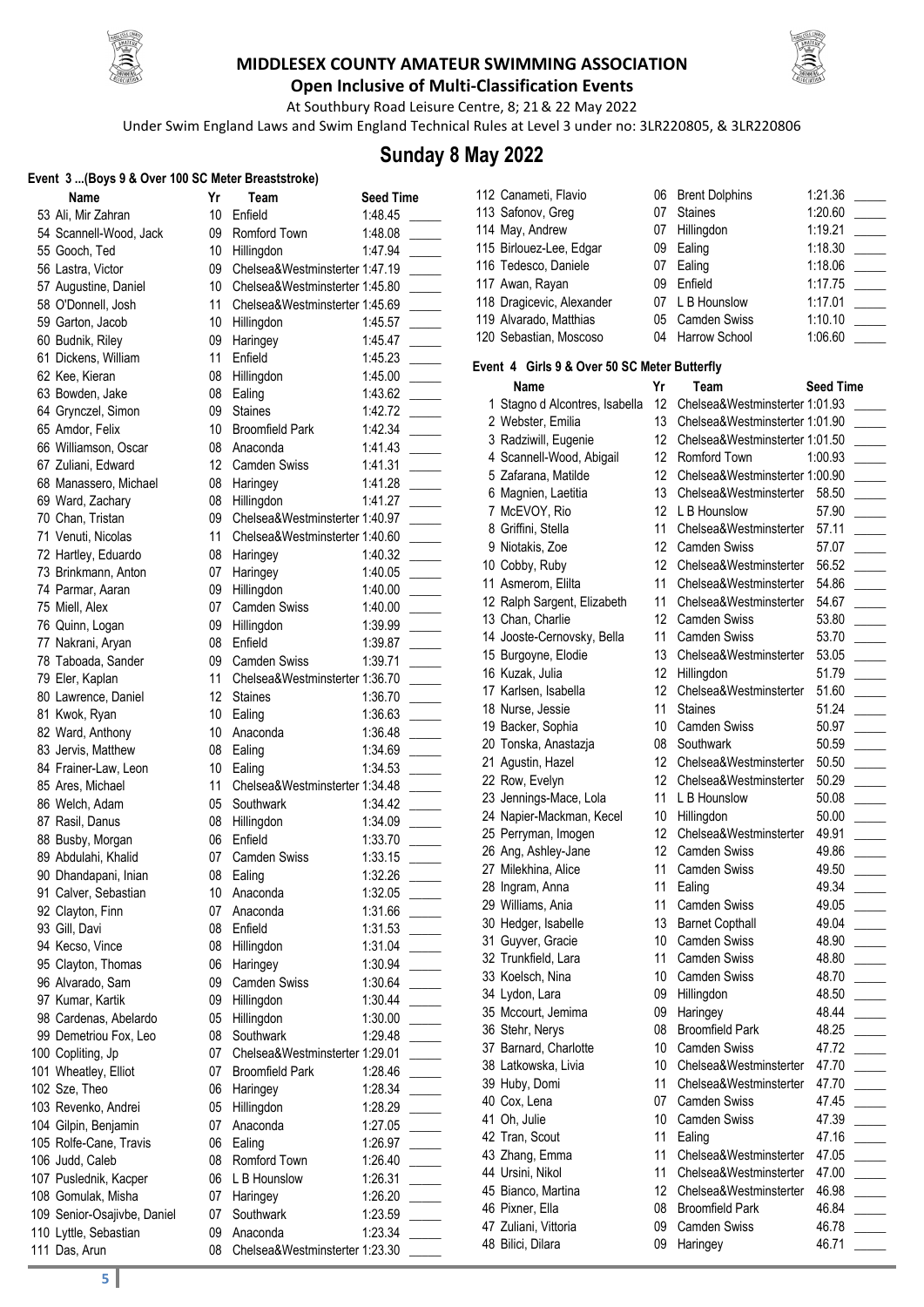



**Open Inclusive of Multi-Classification Events** At Southbury Road Leisure Centre, 8; 21& 22 May 2022

Under Swim England Laws and Swim England Technical Rules at Level 3 under no: 3LR220805, & 3LR220806

## **Sunday 8 May 2022**

#### **Event 3 ...(Boys 9 & Over 100 SC Meter Breaststroke)**

| Event 3 (Boys 9 & Over 100 SC Meter Breaststroke) |    |                                |                  |
|---------------------------------------------------|----|--------------------------------|------------------|
| Name                                              | Yr | Team                           | <b>Seed Time</b> |
| 53 Ali, Mir Zahran                                | 10 | Enfield                        | 1:48.45          |
| 54 Scannell-Wood, Jack                            | 09 | Romford Town                   | 1:48.08          |
| 55 Gooch, Ted                                     | 10 | Hillingdon                     | 1:47.94          |
| 56 Lastra, Victor                                 | 09 | Chelsea&Westminsterter 1:47.19 |                  |
| 57 Augustine, Daniel                              | 10 | Chelsea&Westminsterter 1:45.80 |                  |
| 58 O'Donnell, Josh                                | 11 | Chelsea&Westminsterter 1:45.69 |                  |
| 59 Garton, Jacob                                  | 10 | Hillingdon                     | 1:45.57          |
| 60 Budnik, Riley                                  | 09 | Haringey                       | 1:45.47          |
| 61 Dickens, William                               | 11 | Enfield                        | 1:45.23          |
| 62 Kee, Kieran                                    | 08 | Hillingdon                     | 1:45.00          |
| 63 Bowden, Jake                                   | 08 | Ealing                         | 1:43.62          |
| 64 Grynczel, Simon                                | 09 | <b>Staines</b>                 | 1:42.72          |
| 65 Amdor, Felix                                   | 10 | <b>Broomfield Park</b>         | 1:42.34          |
| 66 Williamson, Oscar                              | 08 | Anaconda                       | 1:41.43          |
|                                                   | 12 | Camden Swiss                   | 1:41.31          |
| 67 Zuliani, Edward                                |    |                                |                  |
| 68 Manassero, Michael                             | 08 | Haringey                       | 1:41.28          |
| 69 Ward, Zachary                                  | 08 | Hillingdon                     | 1:41.27          |
| 70 Chan, Tristan                                  | 09 | Chelsea&Westminsterter 1:40.97 |                  |
| 71 Venuti, Nicolas                                | 11 | Chelsea&Westminsterter 1:40.60 |                  |
| 72 Hartley, Eduardo                               | 08 | Haringey                       | 1:40.32          |
| 73 Brinkmann, Anton                               | 07 | Haringey                       | 1:40.05          |
| 74 Parmar, Aaran                                  | 09 | Hillingdon                     | 1:40.00          |
| 75 Miell, Alex                                    | 07 | <b>Camden Swiss</b>            | 1:40.00          |
| 76 Quinn, Logan                                   | 09 | Hillingdon                     | 1:39.99          |
| 77 Nakrani, Aryan                                 | 08 | Enfield                        | 1:39.87          |
| 78 Taboada, Sander                                | 09 | <b>Camden Swiss</b>            | 1:39.71          |
| 79 Eler, Kaplan                                   | 11 | Chelsea&Westminsterter 1:36.70 |                  |
| 80 Lawrence, Daniel                               | 12 | <b>Staines</b>                 | 1:36.70          |
| 81 Kwok, Ryan                                     | 10 | Ealing                         | 1:36.63          |
| 82 Ward, Anthony                                  | 10 | Anaconda                       | 1:36.48          |
| 83 Jervis, Matthew                                | 08 | Ealing                         | 1:34.69          |
| 84 Frainer-Law, Leon                              | 10 | Ealing                         | 1:34.53          |
| 85 Ares, Michael                                  | 11 | Chelsea&Westminsterter 1:34.48 |                  |
| 86 Welch, Adam                                    | 05 | Southwark                      | 1:34.42          |
| 87 Rasil, Danus                                   | 08 | Hillingdon                     | 1:34.09          |
| 88 Busby, Morgan                                  | 06 | Enfield                        | 1:33.70          |
| 89 Abdulahi, Khalid                               | 07 | <b>Camden Swiss</b>            | 1:33.15          |
| 90 Dhandapani, Inian                              | 08 | Ealing                         | 1:32.26          |
| 91 Calver, Sebastian                              | 10 | Anaconda                       | 1:32.05          |
| 92 Clayton, Finn                                  | 07 | Anaconda                       | 1:31.66          |
| 93 Gill, Davi                                     | 08 | Enfield                        | 1:31.53          |
| 94 Kecso, Vince                                   | 08 | Hillingdon                     | 1:31.04          |
| 95 Clayton, Thomas                                | 06 | Haringey                       | 1:30.94          |
| 96 Alvarado, Sam                                  | 09 | <b>Camden Swiss</b>            | 1:30.64          |
| 97 Kumar, Kartik                                  | 09 | Hillingdon                     | 1:30.44          |
| 98 Cardenas, Abelardo                             | 05 | Hillingdon                     | 1:30.00          |
| 99 Demetriou Fox, Leo                             | 08 | Southwark                      | 1:29.48          |
| 100 Copliting, Jp                                 | 07 | Chelsea&Westminsterter 1:29.01 |                  |
|                                                   | 07 | <b>Broomfield Park</b>         |                  |
| 101 Wheatley, Elliot                              |    |                                | 1:28.46          |
| 102 Sze, Theo                                     | 06 | Haringey                       | 1:28.34          |
| 103 Revenko, Andrei                               | 05 | Hillingdon                     | 1:28.29          |
| 104 Gilpin, Benjamin                              | 07 | Anaconda                       | 1:27.05          |
| 105 Rolfe-Cane, Travis                            | 06 | Ealing                         | 1:26.97          |
| 106 Judd, Caleb                                   | 08 | Romford Town                   | 1:26.40          |
| 107 Puslednik, Kacper                             | 06 | L B Hounslow                   | 1:26.31          |
| 108 Gomulak, Misha                                | 07 | Haringey                       | 1:26.20          |
| 109 Senior-Osajivbe, Daniel                       | 07 | Southwark                      | 1:23.59          |
| 110 Lyttle, Sebastian                             | 09 | Anaconda                       | 1:23.34          |
| 111 Das, Arun                                     | 08 | Chelsea&Westminsterter 1:23.30 |                  |
|                                                   |    |                                |                  |

| 113 Safonov, Greg                            | 07               | <b>Staines</b>                 | 1:20.60          |  |
|----------------------------------------------|------------------|--------------------------------|------------------|--|
| 114 May, Andrew                              | 07               | Hillingdon                     | 1:19.21          |  |
| 115 Birlouez-Lee, Edgar                      | 09               | Ealing                         | 1:18.30          |  |
| 116 Tedesco, Daniele                         | 07               | Ealing                         | 1:18.06          |  |
| 117 Awan, Rayan                              | 09               | Enfield                        | 1:17.75          |  |
| 118 Dragicevic, Alexander                    | 07               | L B Hounslow                   | 1:17.01          |  |
| 119 Alvarado, Matthias                       | 05               | Camden Swiss                   | 1:10.10          |  |
| 120 Sebastian, Moscoso                       | 04               | Harrow School                  | 1:06.60          |  |
|                                              |                  |                                |                  |  |
| Event 4 Girls 9 & Over 50 SC Meter Butterfly |                  |                                |                  |  |
| Name                                         | Yr               | Team                           | <b>Seed Time</b> |  |
| 1 Stagno d Alcontres, Isabella               | 12               | Chelsea&Westminsterter 1:01.93 |                  |  |
| 2 Webster, Emilia                            | 13               | Chelsea&Westminsterter 1:01.90 |                  |  |
| 3 Radziwill, Eugenie                         | 12               | Chelsea&Westminsterter 1:01.50 |                  |  |
| 4 Scannell-Wood, Abigail                     | 12 <sup>°</sup>  | Romford Town                   | 1:00.93          |  |
| 5 Zafarana, Matilde                          | 12 <sup>12</sup> | Chelsea&Westminsterter 1:00.90 |                  |  |
| 6 Magnien, Laetitia                          | 13               | Chelsea&Westminsterter         | 58.50            |  |
| 7 McEVOY, Rio                                | 12 <sup>°</sup>  | L B Hounslow                   | 57.90            |  |
| 8 Griffini, Stella                           | 11               | Chelsea&Westminsterter         | 57.11            |  |
| 9 Niotakis, Zoe                              | 12 <sup>°</sup>  | <b>Camden Swiss</b>            | 57.07            |  |
| 10 Cobby, Ruby                               | 12               | Chelsea&Westminsterter         | 56.52            |  |
| 11 Asmerom, Elilta                           | 11               | Chelsea&Westminsterter         | 54.86            |  |
| 12 Ralph Sargent, Elizabeth                  | 11               | Chelsea&Westminsterter         | 54.67            |  |
| 13 Chan, Charlie                             | 12               | <b>Camden Swiss</b>            | 53.80            |  |
| 14 Jooste-Cernovsky, Bella                   | 11               | <b>Camden Swiss</b>            | 53.70            |  |
| 15 Burgoyne, Elodie                          | 13               | Chelsea&Westminsterter         | 53.05            |  |
| 16 Kuzak, Julia                              | 12 <sup>°</sup>  | Hillingdon                     | 51.79            |  |
| 17 Karlsen, Isabella                         | 12 <sup>°</sup>  | Chelsea&Westminsterter         | 51.60            |  |
| 18 Nurse, Jessie                             | 11               | <b>Staines</b>                 | 51.24            |  |
| 19 Backer, Sophia                            | 10               | <b>Camden Swiss</b>            | 50.97            |  |
| 20 Tonska, Anastazja                         | 08               | Southwark                      | 50.59            |  |
| 21 Agustin, Hazel                            | 12 <sup>°</sup>  | Chelsea&Westminsterter         | 50.50            |  |
| 22 Row, Evelyn                               | 12               | Chelsea&Westminsterter         | 50.29            |  |
| 23 Jennings-Mace, Lola                       | 11               | L B Hounslow                   | 50.08            |  |
| 24 Napier-Mackman, Kecel                     | 10               | Hillingdon                     | 50.00            |  |
| 25 Perryman, Imogen                          | 12 <sup>°</sup>  | Chelsea&Westminsterter         | 49.91            |  |
| 26 Ang, Ashley-Jane                          | 12 <sup>12</sup> | Camden Swiss                   | 49.86            |  |
| 27 Milekhina, Alice                          | 11               | <b>Camden Swiss</b>            | 49.50            |  |
| 28 Ingram, Anna                              | 11               | Ealing                         | 49.34            |  |
| 29 Williams, Ania                            |                  | 11 Camden Swiss                | 49.05            |  |
| 30 Hedger, Isabelle                          | 13               | <b>Barnet Copthall</b>         | 49.04            |  |
| 31 Guyver, Gracie                            | 10               | <b>Camden Swiss</b>            | 48.90            |  |
| 32 Trunkfield, Lara                          | 11               | <b>Camden Swiss</b>            | 48.80            |  |
| 33 Koelsch, Nina                             | 10               | <b>Camden Swiss</b>            | 48.70            |  |
| 34 Lydon, Lara                               | 09               | Hillingdon                     | 48.50            |  |
| 35 Mccourt, Jemima                           | 09               | Haringey                       | 48.44            |  |
| 36 Stehr, Nerys                              | 08               | <b>Broomfield Park</b>         | 48.25            |  |
| 37 Barnard, Charlotte                        | 10 <sup>1</sup>  | <b>Camden Swiss</b>            | 47.72            |  |
| 38 Latkowska, Livia                          | 10 <sup>°</sup>  | Chelsea&Westminsterter         | 47.70            |  |
| 39 Huby, Domi                                | 11               | Chelsea&Westminsterter         | 47.70            |  |
| 40 Cox, Lena                                 | 07               | <b>Camden Swiss</b>            | 47.45            |  |
| 41 Oh, Julie                                 | 10               | <b>Camden Swiss</b>            | 47.39            |  |
| 42 Tran, Scout                               | 11               | Ealing                         | 47.16            |  |
| 43 Zhang, Emma                               | 11               | Chelsea&Westminsterter         | 47.05            |  |
| 44 Ursini, Nikol                             | 11               | Chelsea&Westminsterter         | 47.00            |  |
| 45 Bianco, Martina                           | 12 <sup>°</sup>  | Chelsea&Westminsterter         | 46.98            |  |
| 46 Pixner, Ella                              | 08               | <b>Broomfield Park</b>         | 46.84            |  |
| 47 Zuliani, Vittoria                         | 09               | Camden Swiss                   | 46.78            |  |
| 48 Bilici, Dilara                            | 09               | Haringey                       | 46.71            |  |
|                                              |                  |                                |                  |  |

112 Canameti, Flavio **06 Brent Dolphins** 1:21.36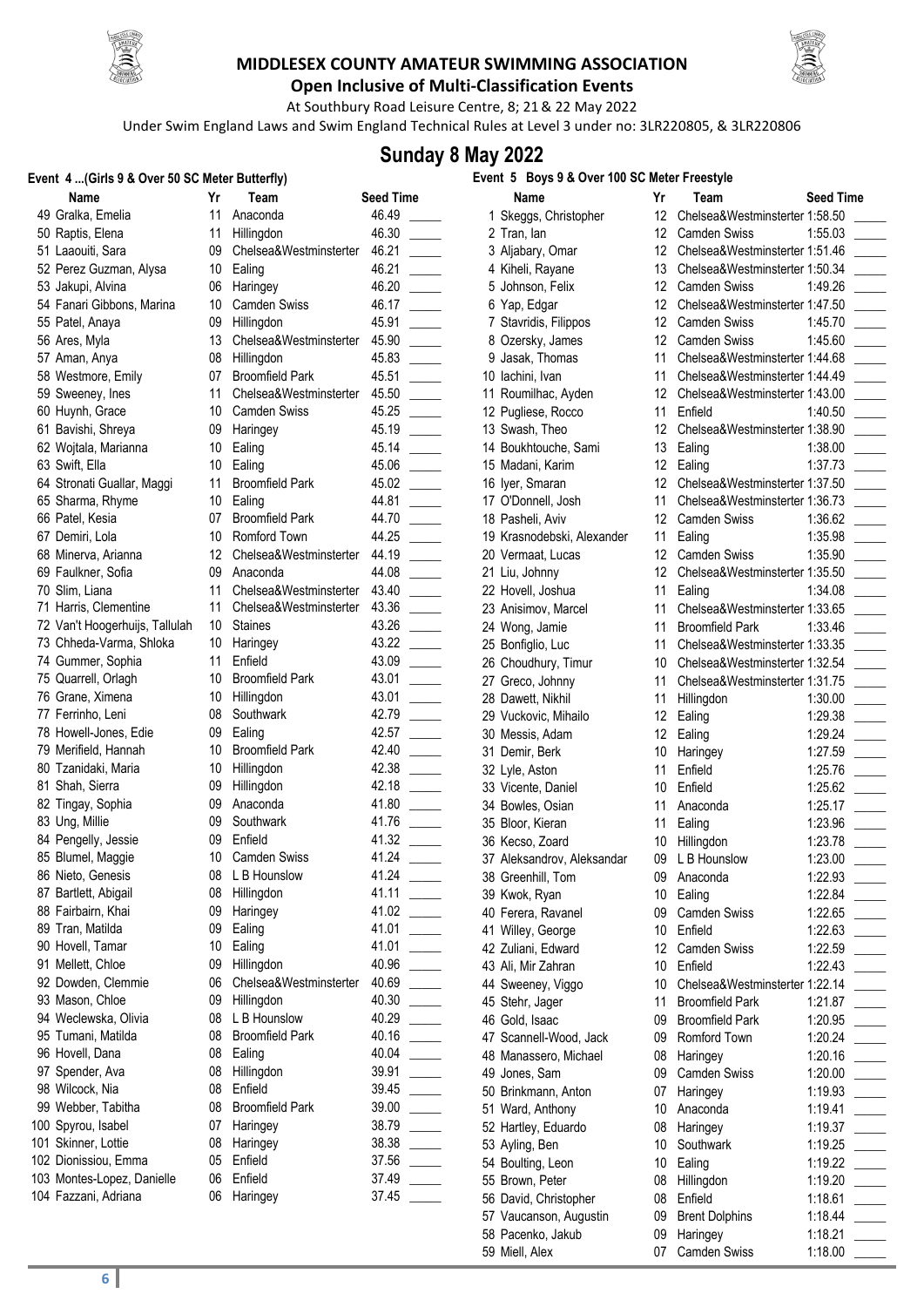



At Southbury Road Leisure Centre, 8; 21& 22 May 2022 Under Swim England Laws and Swim England Technical Rules at Level 3 under no: 3LR220805, & 3LR220806

# **Sunday 8 May 2022**

#### **Event 4 ...(Girls 9 & Over 50 SC Meter Butterfly)**

| .vent  4 (Girls 9 & Over 50 SC M               |
|------------------------------------------------|
| Name                                           |
| 49 Gralka, Emelia                              |
| 50 Raptis, Elena                               |
| 51 Laaouiti, Sara                              |
| 52 Perez Guzman, Alysa                         |
| 53 Jakupi, Alvina                              |
| 54 Fanari Gibbons, Marina                      |
| 55 Patel, Anaya                                |
| 56 Ares, Myla                                  |
| 57 Aman, Anya                                  |
| 58 Westmore, Emily                             |
| 59 Sweeney, Ines                               |
| 60 Huynh, Grace                                |
| 61 Bavishi, Shreya                             |
| 62 Wojtala, Marianna                           |
| 63 Swift, Ella                                 |
| 64 Stronati Guallar, Maggi<br>65 Sharma, Rhyme |
| 66 Patel, Kesia                                |
| 67 Demiri, Lola                                |
| 68 Minerva, Arianna                            |
| 69 Faulkner, Sofia                             |
| 70 Slim, Liana                                 |
| 71 Harris, Clementine                          |
| 72 Van't Hoogerhuijs, Tallulah                 |
| 73 Chheda-Varma, Shloka                        |
| 74 Gummer, Sophia                              |
| 75 Quarrell, Orlagh                            |
| 76 Grane, Ximena                               |
| 77 Ferrinho, Leni                              |
| 78 Howell-Jones, Edie                          |
| 79 Merifield, Hannah                           |
| 80 Tzanidaki, Maria                            |
| 81 Shah, Sierra                                |
| 82 Tingay, Sophia                              |
| 83 Ung, Millie                                 |
| 84 Pengelly, Jessie                            |
| 85 Blumel, Maggie                              |
| 86 Nieto, Genesis                              |
| 87 Bartlett, Abigail                           |
| 88 Fairbairn, Khai                             |
| 89 Tran, Matilda                               |
| 90 Hovell, Tamar                               |
| 91 Mellett, Chloe                              |
| 92 Dowden, Clemmie                             |
| 93 Mason, Chloe                                |
| 94 Weclewska, Olivia                           |
| 95 Tumani, Matilda                             |
| 96 Hovell, Dana                                |
| 97 Spender, Ava                                |
| 98 Wilcock, Nia                                |
| 99 Webber, Tabitha                             |
| 100 Spyrou, Isabel<br>101 Skinner, Lottie      |
| 102 Dionissiou, Emma                           |
| 103 Montes-Lopez, Danielle                     |
| 104 Fazzani, Adriana                           |
|                                                |

| Name                                      | Yr              | Team                                 | <b>Seed Time</b> |
|-------------------------------------------|-----------------|--------------------------------------|------------------|
| 49 Gralka, Emelia                         | 11              | Anaconda                             | 46.49            |
| 50 Raptis, Elena                          | 11              | Hillingdon                           | 46.30            |
| 51 Laaouiti, Sara                         | 09              | Chelsea&Westminsterter               | 46.21            |
| 52 Perez Guzman, Alysa                    | 10              | Ealing                               | 46.21            |
| 53 Jakupi, Alvina                         | 06              | Haringey                             | 46.20            |
| 54 Fanari Gibbons, Marina                 | 10              | <b>Camden Swiss</b>                  | 46.17            |
| 55 Patel, Anaya                           | 09              | Hillingdon                           | 45.91            |
| 56 Ares, Myla                             | 13              | Chelsea&Westminsterter               | 45.90            |
| 57 Aman, Anya                             | 08              | Hillingdon                           | 45.83            |
| 58 Westmore, Emily                        | 07              | <b>Broomfield Park</b>               | 45.51            |
| 59 Sweeney, Ines                          | 11              | Chelsea&Westminsterter               | 45.50            |
| 60 Huynh, Grace                           | 10              | <b>Camden Swiss</b>                  | 45.25            |
| 61 Bavishi, Shreya                        | 09              | Haringey                             | 45.19            |
| 62 Wojtala, Marianna                      | 10              | Ealing                               | 45.14            |
| 63 Swift, Ella                            | 10              | Ealing                               | 45.06            |
| 64 Stronati Guallar, Maggi                | 11              | <b>Broomfield Park</b>               | 45.02            |
| 65 Sharma, Rhyme                          | 10              | Ealing                               | 44.81            |
| 66 Patel, Kesia                           | 07              | <b>Broomfield Park</b>               | 44.70            |
| 67 Demiri, Lola                           | 10              | Romford Town                         | 44.25            |
| 68 Minerva, Arianna                       | 12 <sup>°</sup> | Chelsea&Westminsterter               | 44.19            |
| 69 Faulkner, Sofia                        | 09              | Anaconda                             | 44.08            |
| 70 Slim, Liana                            | 11              | Chelsea&Westminsterter               | 43.40            |
| 71 Harris, Clementine                     | 11              | Chelsea&Westminsterter               | 43.36            |
| 72 Van't Hoogerhuijs, Tallulah            | 10              | <b>Staines</b>                       | 43.26            |
| 73 Chheda-Varma, Shloka                   | 10              | Haringey                             | 43.22            |
| 74 Gummer, Sophia                         | 11<br>10        | Enfield                              | 43.09            |
| 75 Quarrell, Orlagh<br>76 Grane, Ximena   | 10              | <b>Broomfield Park</b><br>Hillingdon | 43.01<br>43.01   |
| 77 Ferrinho, Leni                         | 08              | Southwark                            | 42.79            |
| 78 Howell-Jones, Edie                     | 09              | Ealing                               | 42.57            |
| 79 Merifield, Hannah                      | 10              | <b>Broomfield Park</b>               | 42.40            |
| 80 Tzanidaki, Maria                       | 10              | Hillingdon                           | 42.38            |
| 81 Shah, Sierra                           | 09              | Hillingdon                           | 42.18            |
| 82 Tingay, Sophia                         | 09              | Anaconda                             | 41.80            |
| 83 Ung, Millie                            | 09              | Southwark                            | 41.76            |
| 84 Pengelly, Jessie                       | 09              | Enfield                              | 41.32            |
| 85 Blumel, Maggie                         | 10              | <b>Camden Swiss</b>                  | 41.24            |
| 86 Nieto, Genesis                         | 08              | L B Hounslow                         | 41.24            |
| 87 Bartlett, Abigail                      | 08              | Hillingdon                           | 41.11            |
| 88 Fairbairn, Khai                        | 09              | Haringey                             | 41.02            |
| 89 Tran, Matilda                          | 09              | Ealing                               | 41.01            |
| 90 Hovell, Tamar                          | 10              | Ealing                               | 41.01            |
| 91 Mellett, Chloe                         | 09              | Hillingdon                           | 40.96            |
| 92 Dowden, Clemmie                        | 06              | Chelsea&Westminsterter               | 40.69            |
| 93 Mason, Chloe                           | 09              | Hillingdon                           | 40.30            |
| 94 Weclewska, Olivia                      | 08              | L B Hounslow                         | 40.29            |
| 95 Tumani, Matilda                        | 08              | <b>Broomfield Park</b>               | 40.16            |
| 96 Hovell, Dana                           | 08              | Ealing                               | 40.04            |
| 97 Spender, Ava                           | 08              | Hillingdon                           | 39.91            |
| 98 Wilcock, Nia                           | 08<br>08        | Enfield                              | 39.45            |
| 99 Webber, Tabitha                        | 07              | <b>Broomfield Park</b>               | 39.00<br>38.79   |
| 100 Spyrou, Isabel<br>101 Skinner, Lottie | 08              | Haringey<br>Haringey                 | 38.38            |
| 102 Dionissiou, Emma                      | 05              | Enfield                              | 37.56            |
| 103 Montes-Lopez, Danielle                | 06              | Enfield                              | 37.49            |
| 104 Fazzani, Adriana                      | 06              | Haringey                             | 37.45            |
|                                           |                 |                                      |                  |

| Event 5 Boys 9 & Over 100 SC Meter Freestyle |                 |                                |                  |
|----------------------------------------------|-----------------|--------------------------------|------------------|
| Name                                         | Yr              | Team                           | <b>Seed Time</b> |
| 1 Skeggs, Christopher                        | 12 <sup>°</sup> | Chelsea&Westminsterter 1:58.50 |                  |
| 2 Tran. lan                                  | 12 <sup>°</sup> | Camden Swiss                   | 1:55.03          |
| 3 Aljabary, Omar                             | 12 <sup>°</sup> | Chelsea&Westminsterter 1:51.46 |                  |
| 4 Kiheli, Rayane                             | 13              | Chelsea&Westminsterter 1:50.34 |                  |
| 5 Johnson, Felix                             | 12 <sup>°</sup> | <b>Camden Swiss</b>            | 1:49.26          |
| 6 Yap, Edgar                                 | 12 <sup>°</sup> | Chelsea&Westminsterter 1:47.50 |                  |
| 7 Stavridis, Filippos                        | 12              | <b>Camden Swiss</b>            | 1:45.70          |
| 8 Ozersky, James                             | 12              | Camden Swiss                   | 1:45.60          |
| 9 Jasak, Thomas                              | 11              | Chelsea&Westminsterter 1:44.68 |                  |
| 10 lachini, Ivan                             | 11              | Chelsea&Westminsterter 1:44.49 |                  |
| 11 Roumilhac, Ayden                          | 12              | Chelsea&Westminsterter 1:43.00 |                  |
| 12 Pugliese, Rocco                           | 11              | Enfield                        | 1:40.50          |
| 13 Swash, Theo                               | 12 <sup>°</sup> | Chelsea&Westminsterter 1:38.90 |                  |
|                                              |                 |                                |                  |
| 14 Boukhtouche, Sami                         | 13              | Ealing                         | 1:38.00          |
| 15 Madani, Karim                             | 12 <sup>°</sup> | Ealing                         | 1:37.73          |
| 16 Iyer, Smaran                              | 12              | Chelsea&Westminsterter 1:37.50 |                  |
| 17 O'Donnell, Josh                           | 11              | Chelsea&Westminsterter 1:36.73 |                  |
| 18 Pasheli, Aviv                             | 12              | Camden Swiss                   | 1:36.62          |
| 19 Krasnodebski, Alexander                   | 11              | Ealing                         | 1:35.98          |
| 20 Vermaat, Lucas                            | 12              | <b>Camden Swiss</b>            | 1:35.90          |
| 21 Liu, Johnny                               | 12              | Chelsea&Westminsterter 1:35.50 |                  |
| 22 Hovell, Joshua                            | 11              | Ealing                         | 1:34.08          |
| 23 Anisimov. Marcel                          | 11              | Chelsea&Westminsterter 1:33.65 |                  |
| 24 Wong, Jamie                               | 11              | <b>Broomfield Park</b>         | 1:33.46          |
| 25 Bonfiglio, Luc                            | 11              | Chelsea&Westminsterter 1:33.35 |                  |
| 26 Choudhury, Timur                          | 10              | Chelsea&Westminsterter 1:32.54 |                  |
| 27 Greco, Johnny                             | 11              | Chelsea&Westminsterter 1:31.75 |                  |
| 28 Dawett, Nikhil                            | 11              | Hillingdon                     | 1:30.00          |
| 29 Vuckovic, Mihailo                         | 12              | Ealing                         | 1:29.38          |
| 30 Messis, Adam                              | 12              | Ealing                         | 1:29.24          |
| 31 Demir, Berk                               | 10              | Haringey                       | 1:27.59          |
| 32 Lyle, Aston                               | 11              | Enfield                        | 1:25.76          |
| 33 Vicente, Daniel                           |                 | 10 Enfield                     | 1:25.62          |
| 34 Bowles, Osian                             | 11              | Anaconda                       | 1:25.17          |
| 35 Bloor, Kieran                             |                 | 11 Ealing                      | 1:23.96          |
| 36 Kecso, Zoard                              | 10 <sup>1</sup> | Hillingdon                     | 1:23.78          |
| 37 Aleksandrov, Aleksandar                   | 09              | L B Hounslow                   | 1:23.00          |
| 38 Greenhill, Tom                            | 09              | Anaconda                       | 1:22.93          |
| 39 Kwok, Ryan                                | 10              | Ealing                         | 1:22.84          |
| 40 Ferera, Ravanel                           | 09              | <b>Camden Swiss</b>            | 1:22.65          |
| 41 Willey, George                            | 10              | Enfield                        | 1:22.63          |
| 42 Zuliani, Edward                           | 12              | Camden Swiss                   | 1:22.59          |
| 43 Ali, Mir Zahran                           | 10              | Enfield                        | 1:22.43          |
| 44 Sweeney, Viggo                            | 10 <sup>°</sup> | Chelsea&Westminsterter 1:22.14 |                  |
| 45 Stehr, Jager                              | 11              | <b>Broomfield Park</b>         | 1:21.87          |
| 46 Gold, Isaac                               | 09              | <b>Broomfield Park</b>         | 1:20.95          |
| 47 Scannell-Wood, Jack                       | 09              | Romford Town                   | 1:20.24          |
| 48 Manassero, Michael                        | 08              | Haringey                       | 1:20.16          |
| 49 Jones, Sam                                | 09              | <b>Camden Swiss</b>            | 1:20.00          |
| 50 Brinkmann, Anton                          | 07              | Haringey                       | 1:19.93          |
| 51 Ward, Anthony                             | 10 <sup>1</sup> | Anaconda                       | 1:19.41          |
| 52 Hartley, Eduardo                          | 08              | Haringey                       | 1:19.37          |
|                                              | 10 <sup>°</sup> | Southwark                      |                  |
| 53 Ayling, Ben                               |                 |                                | 1:19.25          |
| 54 Boulting, Leon                            | 10              | Ealing                         | 1:19.22          |
| 55 Brown, Peter                              | 08              | Hillingdon                     | 1:19.20          |
| 56 David, Christopher                        | 08              | Enfield                        | 1:18.61          |
| 57 Vaucanson, Augustin                       | 09              | <b>Brent Dolphins</b>          | 1:18.44          |
| 58 Pacenko, Jakub                            | 09              | Haringey                       | 1:18.21          |



| vent 3 DOYS 9 & OVER TUU SU METER FREESTYIE |                 |                                                    |  |
|---------------------------------------------|-----------------|----------------------------------------------------|--|
| Name                                        | Yr              | Team<br>Seed Time                                  |  |
| 1 Skeggs, Christopher                       | 12              | Chelsea&Westminsterter 1:58.50                     |  |
| 2 Tran, lan                                 | 12              | <b>Camden Swiss</b><br>1:55.03                     |  |
| 3 Aljabary, Omar                            | 12              | Chelsea&Westminsterter 1:51.46                     |  |
| 4 Kiheli, Rayane                            | 13              | Chelsea&Westminsterter 1:50.34                     |  |
| 5 Johnson, Felix                            | 12              | <b>Camden Swiss</b><br>1:49.26                     |  |
| 6 Yap, Edgar                                | 12              | Chelsea&Westminsterter 1:47.50                     |  |
| 7 Stavridis, Filippos                       | 12              | <b>Camden Swiss</b><br>1:45.70                     |  |
| 8 Ozersky, James                            | 12 <sup>°</sup> | Camden Swiss<br>1:45.60                            |  |
| 9 Jasak, Thomas                             | 11              | Chelsea&Westminsterter 1:44.68                     |  |
| 10 lachini, Ivan                            | 11              | Chelsea&Westminsterter 1:44.49                     |  |
| 11 Roumilhac, Ayden                         | 12              | Chelsea&Westminsterter 1:43.00                     |  |
| 12 Pugliese, Rocco                          | 11              | Enfield<br>1:40.50                                 |  |
| 13 Swash, Theo                              | 12              | Chelsea&Westminsterter 1:38.90                     |  |
| 14 Boukhtouche, Sami                        | 13              | 1:38.00<br>Ealing                                  |  |
| 15 Madani, Karim                            | 12 <sup>°</sup> | Ealing<br>1:37.73                                  |  |
| 16 Iyer, Smaran                             | 12 <sup>°</sup> | Chelsea&Westminsterter 1:37.50                     |  |
| 17 O'Donnell, Josh                          | 11              | Chelsea&Westminsterter 1:36.73                     |  |
| 18 Pasheli, Aviv                            | 12              | <b>Camden Swiss</b><br>1:36.62                     |  |
| 19 Krasnodebski, Alexander                  | 11              | Ealing<br>1:35.98                                  |  |
| 20 Vermaat, Lucas                           | 12              | Camden Swiss<br>1:35.90                            |  |
| 21 Liu, Johnny                              | 12              | Chelsea&Westminsterter 1:35.50                     |  |
| 22 Hovell, Joshua                           | 11              | Ealing<br>1:34.08                                  |  |
| 23 Anisimov, Marcel                         | 11              | Chelsea&Westminsterter 1:33.65                     |  |
| 24 Wong, Jamie                              | 11              | <b>Broomfield Park</b><br>1:33.46                  |  |
| 25 Bonfiglio, Luc                           | 11              | Chelsea&Westminsterter 1:33.35                     |  |
| 26 Choudhury, Timur                         | 10              | Chelsea&Westminsterter 1:32.54                     |  |
| 27 Greco, Johnny                            | 11              | Chelsea&Westminsterter 1:31.75                     |  |
| 28 Dawett, Nikhil                           | 11              | Hillingdon<br>1:30.00                              |  |
| 29 Vuckovic, Mihailo                        | 12              | Ealing<br>1:29.38                                  |  |
| 30 Messis, Adam                             | 12              | Ealing<br>1:29.24                                  |  |
| 31 Demir, Berk                              | 10              | Haringey<br>1:27.59                                |  |
| 32 Lyle, Aston                              | 11              | Enfield<br>1:25.76                                 |  |
| 33 Vicente, Daniel                          | 10              | Enfield<br>1:25.62                                 |  |
| 34 Bowles, Osian                            | 11              | Anaconda<br>1:25.17                                |  |
| 35 Bloor, Kieran                            | 11              | Ealing<br>1:23.96                                  |  |
| 36 Kecso, Zoard                             | 10              | Hillingdon<br>1:23.78                              |  |
| 37 Aleksandrov, Aleksandar                  | 09              | L B Hounslow<br>1:23.00                            |  |
| 38 Greenhill, Tom                           |                 | 09 Anaconda<br>1:22.93                             |  |
| 39 Kwok, Ryan                               | 10              | Ealing<br>1:22.84                                  |  |
| 40 Ferera, Ravanel                          | 09              | Camden Swiss<br>1:22.65                            |  |
| 41 Willey, George                           | 10              | Enfield<br>1:22.63                                 |  |
| 42 Zuliani, Edward                          | 12              | <b>Camden Swiss</b><br>1:22.59                     |  |
| 43 Ali, Mir Zahran                          | 10 <sup>°</sup> | 1:22.43<br>Enfield                                 |  |
| 44 Sweeney, Viggo                           | 10              | Chelsea&Westminsterter 1:22.14                     |  |
| 45 Stehr, Jager                             | 11              | 1:21.87<br>Broomfield Park                         |  |
| 46 Gold, Isaac                              | 09              | <b>Broomfield Park</b><br>1:20.95                  |  |
| 47 Scannell-Wood, Jack                      | 09              | Romford Town<br>1:20.24                            |  |
| 48 Manassero, Michael                       | 08              | Haringey<br>1:20.16                                |  |
| 49 Jones, Sam                               | 09              | <b>Camden Swiss</b><br>1:20.00                     |  |
| 50 Brinkmann, Anton                         | 07              | Haringey<br>1:19.93                                |  |
| 51 Ward, Anthony                            | 10              | Anaconda<br>1:19.41                                |  |
| 52 Hartley, Eduardo                         | 08              | Haringey<br>1:19.37                                |  |
| 53 Ayling, Ben                              | 10              | Southwark<br>1:19.25                               |  |
| 54 Boulting, Leon                           | 10              | Ealing<br>1:19.22                                  |  |
| 55 Brown, Peter                             | 08              | 1:19.20<br>Hillingdon                              |  |
| 56 David, Christopher                       | 08              | Enfield<br>1:18.61                                 |  |
| 57 Vaucanson, Augustin                      | 09              | <b>Brent Dolphins</b><br>1:18.44<br>$\sim 10^{-1}$ |  |
| 58 Pacenko, Jakub                           | 09              | 1:18.21<br>Haringey                                |  |
| 59 Miell, Alex                              | 07              | Camden Swiss<br>1:18.00                            |  |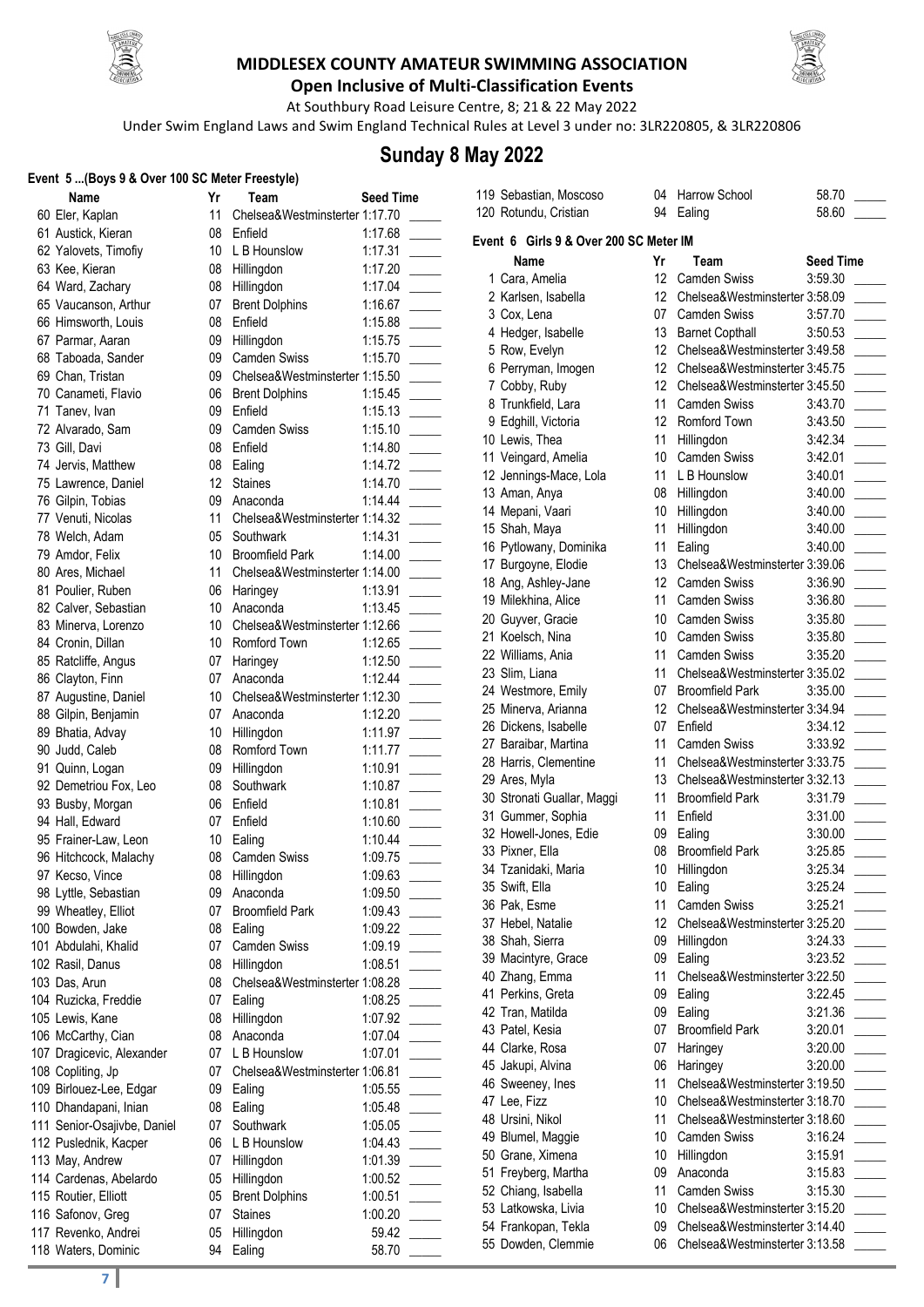



**Open Inclusive of Multi-Classification Events** At Southbury Road Leisure Centre, 8; 21& 22 May 2022

Under Swim England Laws and Swim England Technical Rules at Level 3 under no: 3LR220805, & 3LR220806

## **Sunday 8 May 2022**

#### **Event 5 ...(Boys 9 & Over 100 SC Meter Freestyle)**

| Event э(Boys 9 & Over 100 SC Meter Freestyle)  |                 |                                     |                    |  |
|------------------------------------------------|-----------------|-------------------------------------|--------------------|--|
| Name                                           | Yr              | Team                                | <b>Seed Time</b>   |  |
| 60 Eler, Kaplan                                | 11              | Chelsea&Westminsterter 1:17.70      |                    |  |
| 61 Austick, Kieran                             | 08<br>10        | Enfield                             | 1:17.68            |  |
| 62 Yalovets, Timofiy                           | 08              | L B Hounslow                        | 1:17.31<br>1:17.20 |  |
| 63 Kee, Kieran<br>64 Ward, Zachary             | 08              | Hillingdon                          | 1:17.04            |  |
| 65 Vaucanson, Arthur                           | 07              | Hillingdon<br><b>Brent Dolphins</b> | 1:16.67            |  |
| 66 Himsworth, Louis                            | 08              | Enfield                             | 1:15.88            |  |
| 67 Parmar, Aaran                               | 09              | Hillingdon                          | 1:15.75            |  |
| 68 Taboada, Sander                             | 09              | <b>Camden Swiss</b>                 | 1:15.70            |  |
| 69 Chan, Tristan                               | 09              | Chelsea&Westminsterter 1:15.50      |                    |  |
| 70 Canameti, Flavio                            | 06              | <b>Brent Dolphins</b>               | 1:15.45            |  |
| 71 Tanev, Ivan                                 | 09              | Enfield                             | 1:15.13            |  |
| 72 Alvarado, Sam                               | 09              | <b>Camden Swiss</b>                 | 1:15.10            |  |
| 73 Gill, Davi                                  | 08              | Enfield                             | 1:14.80            |  |
| 74 Jervis, Matthew                             | 08              | Ealing                              | 1:14.72            |  |
| 75 Lawrence, Daniel                            | 12 <sup>2</sup> | <b>Staines</b>                      | 1:14.70            |  |
| 76 Gilpin, Tobias                              | 09              | Anaconda                            | 1:14.44            |  |
| 77 Venuti, Nicolas                             | 11              | Chelsea&Westminsterter 1:14.32      |                    |  |
| 78 Welch, Adam                                 | 05              | Southwark                           | 1:14.31            |  |
| 79 Amdor, Felix                                | 10              | <b>Broomfield Park</b>              | 1:14.00            |  |
| 80 Ares, Michael                               | 11              | Chelsea&Westminsterter 1:14.00      |                    |  |
| 81 Poulier, Ruben                              | 06              | Haringey                            | 1:13.91            |  |
| 82 Calver, Sebastian                           | 10              | Anaconda                            | 1:13.45            |  |
| 83 Minerva, Lorenzo                            | 10              | Chelsea&Westminsterter 1:12.66      |                    |  |
| 84 Cronin, Dillan                              | 10              | Romford Town                        | 1:12.65            |  |
| 85 Ratcliffe, Angus                            | 07              | Haringey                            | 1:12.50            |  |
| 86 Clayton, Finn                               | 07              | Anaconda                            | 1:12.44            |  |
| 87 Augustine, Daniel                           | 10              | Chelsea&Westminsterter 1:12.30      |                    |  |
| 88 Gilpin, Benjamin                            | 07              | Anaconda                            | 1:12.20            |  |
| 89 Bhatia, Advay                               | 10<br>08        | Hillingdon<br>Romford Town          | 1:11.97            |  |
| 90 Judd, Caleb                                 | 09              | Hillingdon                          | 1:11.77<br>1:10.91 |  |
| 91 Quinn, Logan<br>92 Demetriou Fox, Leo       | 08              | Southwark                           | 1:10.87            |  |
| 93 Busby, Morgan                               | 06              | Enfield                             | 1:10.81            |  |
| 94 Hall, Edward                                | 07              | Enfield                             | 1:10.60            |  |
| 95 Frainer-Law, Leon                           | 10              | Ealing                              | 1:10.44            |  |
| 96 Hitchcock, Malachy                          | 08              | <b>Camden Swiss</b>                 | 1:09.75            |  |
| 97 Kecso, Vince                                |                 | 08 Hillingdon                       | 1:09.63            |  |
| 98 Lyttle, Sebastian                           | 09              | Anaconda                            | 1:09.50            |  |
| 99 Wheatley, Elliot                            | 07              | <b>Broomfield Park</b>              | 1:09.43            |  |
| 100 Bowden, Jake                               | 08              | Ealing                              | 1:09.22            |  |
| 101 Abdulahi, Khalid                           | 07              | <b>Camden Swiss</b>                 | 1:09.19            |  |
| 102 Rasil, Danus                               | 08              | Hillingdon                          | 1:08.51            |  |
| 103 Das, Arun                                  | 08              | Chelsea&Westminsterter 1:08.28      |                    |  |
| 104 Ruzicka, Freddie                           | 07              | Ealing                              | 1:08.25            |  |
| 105 Lewis, Kane                                | 08              | Hillingdon                          | 1:07.92            |  |
| 106 McCarthy, Cian                             | 08              | Anaconda                            | 1:07.04            |  |
| 107 Dragicevic, Alexander                      | 07              | L B Hounslow                        | 1:07.01            |  |
| 108 Copliting, Jp                              | 07              | Chelsea&Westminsterter 1:06.81      |                    |  |
| 109 Birlouez-Lee, Edgar                        | 09              | Ealing                              | 1:05.55            |  |
| 110 Dhandapani, Inian                          | 08              | Ealing                              | 1:05.48            |  |
| 111 Senior-Osajivbe, Daniel                    | 07              | Southwark                           | 1:05.05            |  |
| 112 Puslednik, Kacper                          | 06              | L B Hounslow                        | 1:04.43            |  |
| 113 May, Andrew                                | 07<br>05        | Hillingdon                          | 1:01.39            |  |
| 114 Cardenas, Abelardo<br>115 Routier, Elliott | 05              | Hillingdon<br><b>Brent Dolphins</b> | 1:00.52<br>1:00.51 |  |
| 116 Safonov, Greg                              | 07              | <b>Staines</b>                      | 1:00.20            |  |
| 117 Revenko, Andrei                            | 05              | Hillingdon                          | 59.42              |  |
| 118 Waters, Dominic                            | 94              | Ealing                              | 58.70              |  |
|                                                |                 |                                     |                    |  |

| 119 Sebastian, Moscoso<br>120 Rotundu, Cristian | 04<br>94        | Harrow School<br>Ealing                                          | 58.70<br>58.60     |
|-------------------------------------------------|-----------------|------------------------------------------------------------------|--------------------|
| Event 6 Girls 9 & Over 200 SC Meter IM          |                 |                                                                  |                    |
| Name                                            | Yr              | Team                                                             | <b>Seed Time</b>   |
| 1 Cara, Amelia                                  | 12 <sup>°</sup> | <b>Camden Swiss</b>                                              | 3:59.30            |
| 2 Karlsen, Isabella                             | 12 <sup>°</sup> | Chelsea&Westminsterter 3:58.09                                   |                    |
| 3 Cox, Lena                                     | 07              | <b>Camden Swiss</b>                                              | 3:57.70            |
| 4 Hedger, Isabelle                              | 13              | <b>Barnet Copthall</b>                                           | 3:50.53            |
| 5 Row, Evelyn                                   | 12              | Chelsea&Westminsterter 3:49.58                                   |                    |
| 6 Perryman, Imogen                              | 12              | Chelsea&Westminsterter 3:45.75                                   |                    |
| 7 Cobby, Ruby                                   | 12              | Chelsea&Westminsterter 3:45.50                                   |                    |
| 8 Trunkfield, Lara                              | 11              | <b>Camden Swiss</b>                                              | 3:43.70            |
| 9 Edghill, Victoria                             | 12              | Romford Town                                                     | 3:43.50            |
| 10 Lewis, Thea                                  | 11              | Hillingdon                                                       | 3:42.34            |
| 11 Veingard, Amelia                             | 10              | <b>Camden Swiss</b>                                              | 3:42.01            |
| 12 Jennings-Mace, Lola                          | 11              | L B Hounslow                                                     | 3:40.01            |
| 13 Aman, Anya                                   | 08              | Hillingdon                                                       | 3:40.00            |
| 14 Mepani, Vaari                                | 10              | Hillingdon                                                       | 3:40.00            |
| 15 Shah, Maya                                   | 11              | Hillingdon                                                       | 3:40.00            |
| 16 Pytlowany, Dominika                          | 11              | Ealing                                                           | 3:40.00            |
| 17 Burgoyne, Elodie                             | 13              | Chelsea&Westminsterter 3:39.06                                   |                    |
| 18 Ang, Ashley-Jane                             | 12              | <b>Camden Swiss</b>                                              | 3:36.90            |
| 19 Milekhina, Alice                             | 11              | <b>Camden Swiss</b>                                              | 3:36.80            |
| 20 Guyver, Gracie                               | 10 <sup>1</sup> | <b>Camden Swiss</b>                                              | 3:35.80            |
| 21 Koelsch, Nina                                | 10              | <b>Camden Swiss</b>                                              | 3:35.80            |
| 22 Williams, Ania                               | 11              | <b>Camden Swiss</b>                                              | 3:35.20            |
| 23 Slim, Liana                                  | 11              | Chelsea&Westminsterter 3:35.02                                   |                    |
| 24 Westmore, Emily                              | 07              | <b>Broomfield Park</b>                                           | 3:35.00            |
| 25 Minerva, Arianna                             | 12              | Chelsea&Westminsterter 3:34.94                                   |                    |
| 26 Dickens, Isabelle                            | 07              | Enfield                                                          | 3:34.12            |
| 27 Baraibar, Martina                            | 11              | <b>Camden Swiss</b>                                              | 3:33.92            |
| 28 Harris, Clementine                           | 11<br>13        | Chelsea&Westminsterter 3:33.75<br>Chelsea&Westminsterter 3:32.13 |                    |
| 29 Ares, Myla                                   | 11              | <b>Broomfield Park</b>                                           |                    |
| 30 Stronati Guallar, Maggi<br>31 Gummer, Sophia | 11              | Enfield                                                          | 3:31.79<br>3:31.00 |
| 32 Howell-Jones, Edie                           | 09              | Ealing                                                           | 3:30.00            |
| 33 Pixner, Ella                                 | 08              | <b>Broomfield Park</b>                                           | 3:25.85            |
| 34 Tzanidaki, Maria                             | 10              | Hillingdon                                                       | 3:25.34            |
| 35 Swift, Ella                                  | 10              | Ealing                                                           | 3:25.24            |
| 36 Pak, Esme                                    | 11              | Camden Swiss                                                     | 3:25.21            |
| 37 Hebel, Natalie                               | 12              | Chelsea&Westminsterter 3:25.20                                   |                    |
| 38 Shah, Sierra                                 | 09              | Hillingdon                                                       | 3:24.33            |
| 39 Macintyre, Grace                             | 09              | Ealing                                                           | 3:23.52            |
| 40 Zhang, Emma                                  | 11              | Chelsea&Westminsterter 3:22.50                                   |                    |
| 41 Perkins, Greta                               | 09              | Ealing                                                           | 3:22.45            |
| 42 Tran, Matilda                                | 09              | Ealing                                                           | 3:21.36            |
| 43 Patel, Kesia                                 | 07              | <b>Broomfield Park</b>                                           | 3:20.01            |
| 44 Clarke, Rosa                                 | 07              | Haringey                                                         | 3:20.00            |
| 45 Jakupi, Alvina                               | 06              | Haringey                                                         | 3:20.00            |
| 46 Sweeney, Ines                                | 11              | Chelsea&Westminsterter 3:19.50                                   |                    |
| 47 Lee, Fizz                                    | 10              | Chelsea&Westminsterter 3:18.70                                   |                    |
| 48 Ursini, Nikol                                | 11              | Chelsea&Westminsterter 3:18.60                                   |                    |
| 49 Blumel, Maggie                               | 10              | <b>Camden Swiss</b>                                              | 3:16.24            |
| 50 Grane, Ximena                                | 10              | Hillingdon                                                       | 3:15.91            |
| 51 Freyberg, Martha                             | 09              | Anaconda                                                         | 3:15.83            |
| 52 Chiang, Isabella                             | 11              | <b>Camden Swiss</b>                                              | 3:15.30            |
| 53 Latkowska, Livia                             | 10              | Chelsea&Westminsterter 3:15.20                                   |                    |
| 54 Frankopan, Tekla                             | 09              | Chelsea&Westminsterter 3:14.40                                   |                    |
| 55 Dowden, Clemmie                              | 06              | Chelsea&Westminsterter 3:13.58                                   |                    |
|                                                 |                 |                                                                  |                    |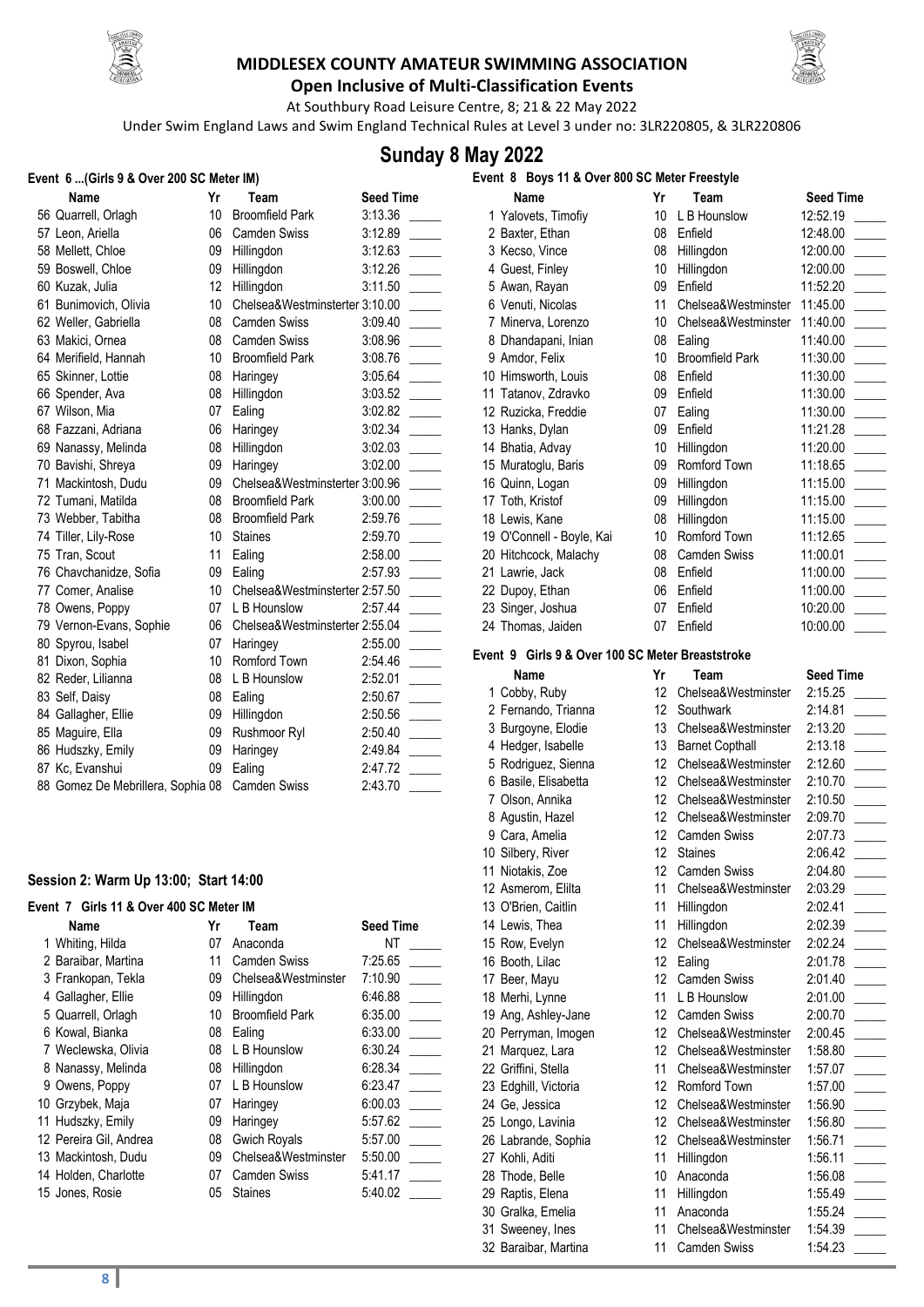

#### **MIDDLESEX COUNTY AMATEUR SWIMMING ASSOCIATION Open Inclusive of Multi-Classification Events**



At Southbury Road Leisure Centre, 8; 21& 22 May 2022

Under Swim England Laws and Swim England Technical Rules at Level 3 under no: 3LR220805, & 3LR220806

## **Sunday 8 May 2022**

#### **Event 6 ...(Girls 9 & Over 200 SC Meter IM)**

| Name                              | Yr | Team                           | <b>Seed Time</b> |
|-----------------------------------|----|--------------------------------|------------------|
| 56 Quarrell, Orlagh               | 10 | <b>Broomfield Park</b>         | 3:13.36          |
| 57 Leon, Ariella                  | 06 | Camden Swiss                   | 3:12.89          |
| 58 Mellett, Chloe                 | 09 | Hillingdon                     | 3:12.63          |
| 59 Boswell, Chloe                 | 09 | Hillingdon                     | 3:12.26          |
| 60 Kuzak, Julia                   | 12 | Hillingdon                     | 3:11.50          |
| 61 Bunimovich, Olivia             | 10 | Chelsea&Westminsterter 3:10.00 |                  |
| 62 Weller, Gabriella              | 08 | <b>Camden Swiss</b>            | 3:09.40          |
| 63 Makici, Ornea                  | 08 | <b>Camden Swiss</b>            | 3:08.96          |
| 64 Merifield, Hannah              | 10 | <b>Broomfield Park</b>         | 3:08.76          |
| 65 Skinner, Lottie                | 08 | Haringey                       | 3:05.64          |
| 66 Spender, Ava                   | 08 | Hillingdon                     | 3:03.52          |
| 67 Wilson, Mia                    | 07 | Ealing                         | 3:02.82          |
| 68 Fazzani, Adriana               | 06 | Haringey                       | 3:02.34          |
| 69 Nanassy, Melinda               | 08 | Hillingdon                     | 3:02.03          |
| 70 Bavishi, Shreya                | 09 | Haringey                       | 3:02.00          |
| 71 Mackintosh, Dudu               | 09 | Chelsea&Westminsterter 3:00.96 |                  |
| 72 Tumani, Matilda                | 08 | <b>Broomfield Park</b>         | 3:00.00          |
| 73 Webber, Tabitha                | 08 | <b>Broomfield Park</b>         | 2:59.76          |
| 74 Tiller, Lily-Rose              | 10 | <b>Staines</b>                 | 2:59.70          |
| 75 Tran, Scout                    | 11 | Ealing                         | 2:58.00          |
| 76 Chavchanidze, Sofia            | 09 | Ealing                         | 2:57.93          |
| 77 Comer, Analise                 | 10 | Chelsea&Westminsterter 2:57.50 |                  |
| 78 Owens, Poppy                   | 07 | L B Hounslow                   | 2:57.44          |
| 79 Vernon-Evans, Sophie           | 06 | Chelsea&Westminsterter 2:55.04 |                  |
| 80 Spyrou, Isabel                 | 07 | Haringey                       | 2:55.00          |
| 81 Dixon, Sophia                  | 10 | Romford Town                   | 2:54.46          |
| 82 Reder, Lilianna                | 08 | L B Hounslow                   | 2:52.01          |
| 83 Self, Daisy                    | 08 | Ealing                         | 2:50.67          |
| 84 Gallagher, Ellie               | 09 | Hillingdon                     | 2:50.56          |
| 85 Maguire, Ella                  | 09 | Rushmoor Ryl                   | 2:50.40          |
| 86 Hudszky, Emily                 | 09 | Haringey                       | 2:49.84          |
| 87 Kc, Evanshui                   | 09 | Ealing                         | 2:47.72          |
| 88 Gomez De Mebrillera, Sophia 08 |    | <b>Camden Swiss</b>            | 2:43.70          |

#### **Session 2: Warm Up 13:00; Start 14:00**

#### **Event 7 Girls 11 & Over 400 SC Meter IM**

| <b>Name</b>            | Yr | Team                   | <b>Seed Time</b> |
|------------------------|----|------------------------|------------------|
| 1 Whiting, Hilda       | 07 | Anaconda               | ΝT               |
| 2 Baraibar, Martina    | 11 | Camden Swiss           | 7:25.65          |
| 3 Frankopan, Tekla     | 09 | Chelsea&Westminster    | 7:10.90          |
| Gallagher, Ellie       | 09 | Hillingdon             | 6:46.88          |
| 5 Quarrell, Orlagh     | 10 | <b>Broomfield Park</b> | 6:35.00          |
| 6 Kowal, Bianka        | 08 | Ealing                 | 6:33.00          |
| 7 Weclewska, Olivia    | 08 | L B Hounslow           | 6:30.24          |
| 8 Nanassy, Melinda     | 08 | Hillingdon             | 6:28.34          |
| 9 Owens, Poppy         | 07 | L B Hounslow           | 6:23.47          |
| 10 Grzybek, Maja       | 07 | Haringey               | 6:00.03          |
| 11 Hudszky, Emily      | 09 | Haringey               | 5:57.62          |
| 12 Pereira Gil, Andrea | 08 | <b>Gwich Royals</b>    | 5:57.00          |
| 13 Mackintosh, Dudu    | 09 | Chelsea&Westminster    | 5:50.00          |
| 14 Holden, Charlotte   | 07 | <b>Camden Swiss</b>    | 5:41.17          |
| 15 Jones, Rosie        | 05 | <b>Staines</b>         | 5:40.02          |

| Event 8 Boys 11 & Over 800 SC Meter Freestyle |    |                        |                  |
|-----------------------------------------------|----|------------------------|------------------|
| Name                                          | Yr | Team                   | <b>Seed Time</b> |
| 1 Yalovets, Timofiy                           | 10 | L B Hounslow           | 12:52.19         |
| 2 Baxter, Ethan                               | 08 | Enfield                | 12:48.00         |
| 3 Kecso, Vince                                | 08 | Hillingdon             | 12:00.00         |
| 4 Guest, Finley                               | 10 | Hillingdon             | 12:00.00         |
| 5 Awan, Rayan                                 | 09 | Enfield                | 11:52.20         |
| 6 Venuti, Nicolas                             | 11 | Chelsea&Westminster    | 11:45.00         |
| 7 Minerva, Lorenzo                            | 10 | Chelsea&Westminster    | 11:40.00         |
| 8 Dhandapani, Inian                           | 08 | Ealing                 | 11:40.00         |
| 9 Amdor, Felix                                | 10 | <b>Broomfield Park</b> | 11:30.00         |
| 10 Himsworth, Louis                           | 08 | Enfield                | 11:30.00         |
| 11 Tatanov, Zdravko                           | 09 | Enfield                | 11:30.00         |
| 12 Ruzicka, Freddie                           | 07 | Ealing                 | 11:30.00         |
| 13 Hanks, Dylan                               | 09 | Enfield                | 11:21.28         |
| 14 Bhatia, Advay                              | 10 | Hillingdon             | 11:20.00         |
| 15 Muratoglu, Baris                           | 09 | Romford Town           | 11:18.65         |
| 16 Quinn, Logan                               | 09 | Hillingdon             | 11:15.00         |
| 17 Toth, Kristof                              | 09 | Hillingdon             | 11:15.00         |
| 18 Lewis, Kane                                | 08 | Hillingdon             | 11:15.00         |
| 19 O'Connell - Boyle, Kai                     | 10 | Romford Town           | 11:12.65         |
| 20 Hitchcock, Malachy                         | 08 | <b>Camden Swiss</b>    | 11:00.01         |
| 21 Lawrie, Jack                               | 08 | Enfield                | 11:00.00         |
| 22 Dupoy, Ethan                               | 06 | Enfield                | 11:00.00         |
| 23 Singer, Joshua                             | 07 | Enfield                | 10:20.00         |
| 24 Thomas, Jaiden                             | 07 | Enfield                | 10:00.00         |

#### **Event 9 Girls 9 & Over 100 SC Meter Breaststroke**

| Name                 | Yr              | Team                   | <b>Seed Time</b> |
|----------------------|-----------------|------------------------|------------------|
| 1 Cobby, Ruby        | 12              | Chelsea&Westminster    | 2:15.25          |
| 2 Fernando, Trianna  | 12              | Southwark              | 2:14.81          |
| 3 Burgoyne, Elodie   | 13              | Chelsea&Westminster    | 2:13.20          |
| 4 Hedger, Isabelle   | 13              | <b>Barnet Copthall</b> | 2:13.18          |
| 5 Rodriguez, Sienna  | 12 <sup>°</sup> | Chelsea&Westminster    | 2:12.60          |
| 6 Basile, Elisabetta | 12              | Chelsea&Westminster    | 2:10.70          |
| 7 Olson, Annika      | 12              | Chelsea&Westminster    | 2:10.50          |
| 8 Agustin, Hazel     | 12              | Chelsea&Westminster    | 2:09.70          |
| 9 Cara, Amelia       | 12              | <b>Camden Swiss</b>    | 2:07.73          |
| 10 Silbery, River    | 12              | <b>Staines</b>         | 2:06.42          |
| 11 Niotakis, Zoe     | 12              | <b>Camden Swiss</b>    | 2:04.80          |
| 12 Asmerom, Elilta   | 11              | Chelsea&Westminster    | 2:03.29          |
| 13 O'Brien, Caitlin  | 11              | Hillingdon             | 2:02.41          |
| 14 Lewis, Thea       | 11              | Hillingdon             | 2:02.39          |
| 15 Row, Evelyn       | 12              | Chelsea&Westminster    | 2:02.24          |
| 16 Booth, Lilac      | 12              | Ealing                 | 2:01.78          |
| 17 Beer, Mayu        | 12              | Camden Swiss           | 2:01.40          |
| 18 Merhi, Lynne      | 11              | L B Hounslow           | 2:01.00          |
| 19 Ang, Ashley-Jane  | 12              | Camden Swiss           | 2:00.70          |
| 20 Perryman, Imogen  | 12              | Chelsea&Westminster    | 2:00.45          |
| 21 Marquez, Lara     | 12              | Chelsea&Westminster    | 1:58.80          |
| 22 Griffini, Stella  | 11              | Chelsea&Westminster    | 1:57.07          |
| 23 Edghill, Victoria | 12              | Romford Town           | 1:57.00          |
| 24 Ge, Jessica       | 12              | Chelsea&Westminster    | 1:56.90          |
| 25 Longo, Lavinia    | 12              | Chelsea&Westminster    | 1:56.80          |
| 26 Labrande, Sophia  | 12              | Chelsea&Westminster    | 1:56.71          |
| 27 Kohli, Aditi      | 11              | Hillingdon             | 1:56.11          |
| 28 Thode, Belle      | 10              | Anaconda               | 1:56.08          |
| 29 Raptis, Elena     | 11              | Hillingdon             | 1:55.49          |
| 30 Gralka, Emelia    | 11              | Anaconda               | 1:55.24          |
| 31 Sweeney, Ines     | 11              | Chelsea&Westminster    | 1:54.39          |
| 32 Baraibar, Martina | 11              | <b>Camden Swiss</b>    | 1:54.23          |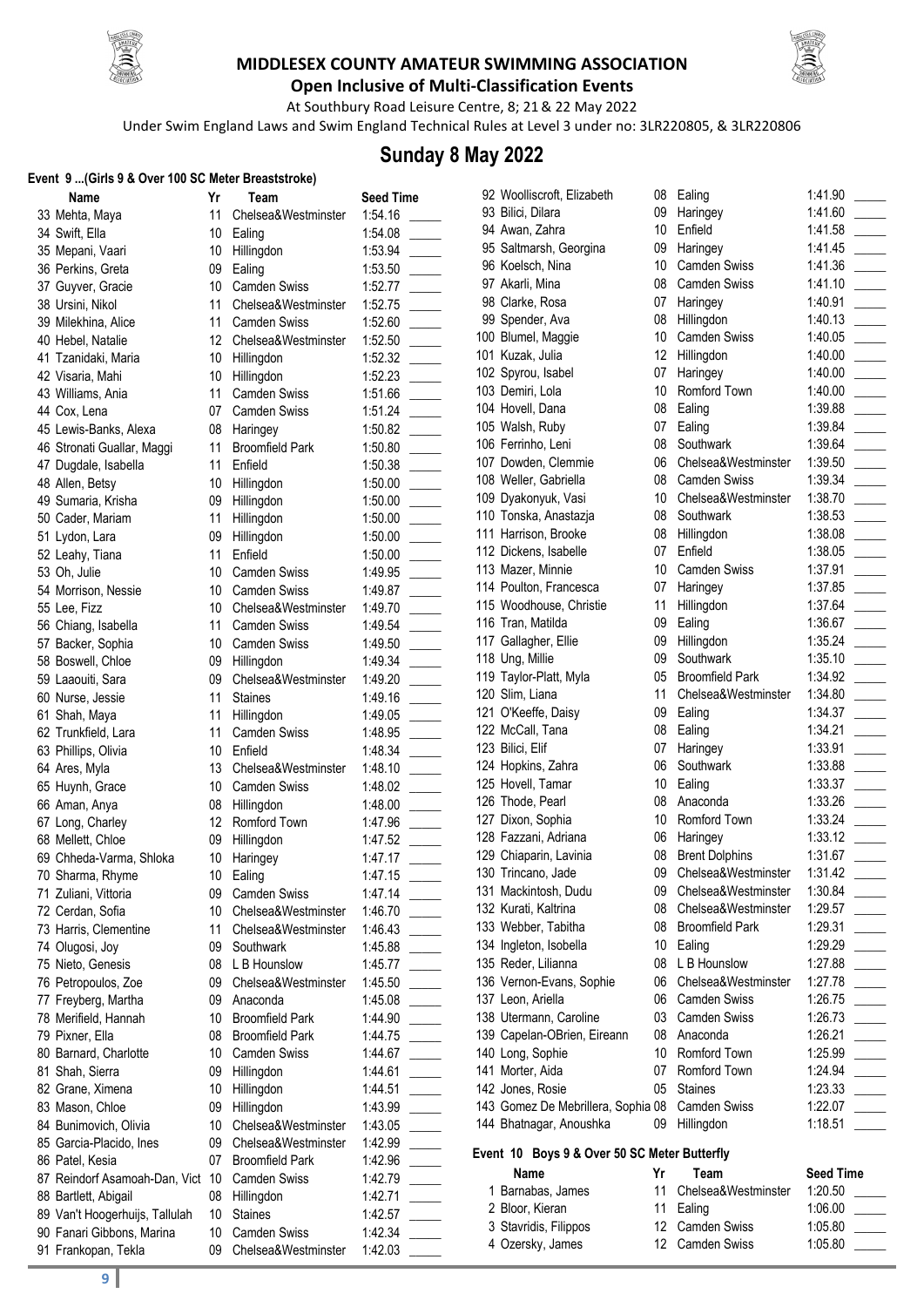



**Open Inclusive of Multi-Classification Events** At Southbury Road Leisure Centre, 8; 21& 22 May 2022

Under Swim England Laws and Swim England Technical Rules at Level 3 under no: 3LR220805, & 3LR220806

## **Sunday 8 May 2022**

#### **Event 9 ...(Girls 9 & Over 100 SC Meter Breaststroke)**

| vent 9 (Girls 9 & Over 100 SC Meter Breaststroke) |                   |                        |                  |
|---------------------------------------------------|-------------------|------------------------|------------------|
| Name                                              | Yr                | Team                   | <b>Seed Time</b> |
| 33 Mehta, Maya                                    | 11                | Chelsea&Westminster    | 1:54.16          |
| 34 Swift, Ella                                    | 10                | Ealing                 | 1:54.08          |
| 35 Mepani, Vaari                                  | 10 <sup>1</sup>   | Hillingdon             | 1:53.94          |
| 36 Perkins, Greta                                 |                   | 09 Ealing              | 1:53.50          |
| 37 Guyver, Gracie                                 | 10 <sup>°</sup>   | Camden Swiss           | 1:52.77          |
| 38 Ursini, Nikol                                  | 11                | Chelsea&Westminster    | 1:52.75          |
| 39 Milekhina, Alice                               | 11                | <b>Camden Swiss</b>    | 1:52.60          |
| 40 Hebel, Natalie                                 | $12 \overline{ }$ | Chelsea&Westminster    | 1:52.50          |
| 41 Tzanidaki, Maria                               | 10 <sup>°</sup>   | Hillingdon             | 1:52.32          |
| 42 Visaria, Mahi                                  | 10 <sup>°</sup>   | Hillingdon             | 1:52.23          |
| 43 Williams, Ania                                 | 11                | Camden Swiss           | 1:51.66          |
| 44 Cox, Lena                                      | 07                | Camden Swiss           | 1:51.24          |
| 45 Lewis-Banks, Alexa                             | 08                | Haringey               | 1:50.82          |
| 46 Stronati Guallar, Maggi                        | 11                | <b>Broomfield Park</b> | 1:50.80          |
| 47 Dugdale, Isabella                              | 11                | Enfield                | 1:50.38          |
| 48 Allen, Betsy                                   | 10 <sup>1</sup>   | Hillingdon             | 1:50.00          |
| 49 Sumaria, Krisha                                | 09                | Hillingdon             | 1:50.00          |
| 50 Cader, Mariam                                  | 11                | Hillingdon             | 1:50.00          |
| 51 Lydon, Lara                                    | 09                | Hillingdon             | 1:50.00          |
| 52 Leahy, Tiana                                   | 11                | Enfield                | 1:50.00          |
| 53 Oh, Julie                                      | 10                | Camden Swiss           | 1:49.95          |
| 54 Morrison, Nessie                               | 10                | <b>Camden Swiss</b>    | 1:49.87          |
| 55 Lee, Fizz                                      | 10                | Chelsea&Westminster    | 1:49.70          |
| 56 Chiang, Isabella                               | 11                | Camden Swiss           | 1:49.54          |
| 57 Backer, Sophia                                 | 10                | Camden Swiss           | 1:49.50          |
| 58 Boswell, Chloe                                 | 09                | Hillingdon             | 1:49.34          |
| 59 Laaouiti, Sara                                 | 09                | Chelsea&Westminster    | 1:49.20          |
| 60 Nurse, Jessie                                  | 11                | <b>Staines</b>         | 1:49.16          |
| 61 Shah, Maya                                     | 11                | Hillingdon             | 1:49.05          |
| 62 Trunkfield, Lara                               | 11                | Camden Swiss           | 1:48.95          |
| 63 Phillips, Olivia                               | 10 <sup>°</sup>   | Enfield                | 1:48.34          |
| 64 Ares, Myla                                     | 13                | Chelsea&Westminster    | 1:48.10          |
| 65 Huynh, Grace                                   | 10 <sup>°</sup>   | <b>Camden Swiss</b>    | 1:48.02          |
| 66 Aman, Anya                                     | 08                | Hillingdon             | 1:48.00          |
| 67 Long, Charley                                  | 12 <sup>°</sup>   | Romford Town           | 1:47.96          |
| 68 Mellett, Chloe                                 | 09                | Hillingdon             | 1:47.52          |
| 69 Chheda-Varma, Shloka                           | 10                | Haringey               | 1:47.17          |
| 70 Sharma, Rhyme                                  | 10 <sup>1</sup>   | Ealing                 | 1:47.15          |
| 71 Zuliani, Vittoria                              |                   |                        | 1:47.14          |
|                                                   | 09                | <b>Camden Swiss</b>    |                  |
| 72 Cerdan, Sofia                                  | 10                | Chelsea&Westminster    | 1:46.70          |
| 73 Harris, Clementine                             | 11                | Chelsea&Westminster    | 1:46.43          |
| 74 Olugosi, Joy                                   | 09                | Southwark              | 1:45.88          |
| 75 Nieto, Genesis                                 | 08                | L B Hounslow           | 1:45.77          |
| 76 Petropoulos, Zoe                               | 09                | Chelsea&Westminster    | 1:45.50          |
| 77 Freyberg, Martha                               | 09                | Anaconda               | 1:45.08          |
| 78 Merifield, Hannah                              | 10                | <b>Broomfield Park</b> | 1:44.90          |
| 79 Pixner, Ella                                   | 08                | <b>Broomfield Park</b> | 1:44.75          |
| 80 Barnard, Charlotte                             | 10                | <b>Camden Swiss</b>    | 1:44.67          |
| 81 Shah, Sierra                                   | 09                | Hillingdon             | 1:44.61          |
| 82 Grane, Ximena                                  | 10                | Hillingdon             | 1:44.51          |
| 83 Mason, Chloe                                   | 09                | Hillingdon             | 1:43.99          |
| 84 Bunimovich, Olivia                             | 10                | Chelsea&Westminster    | 1:43.05          |
| 85 Garcia-Placido, Ines                           | 09                | Chelsea&Westminster    | 1:42.99          |
| 86 Patel, Kesia                                   | 07                | <b>Broomfield Park</b> | 1:42.96          |
| 87 Reindorf Asamoah-Dan, Vict                     | 10                | Camden Swiss           | 1:42.79          |
| 88 Bartlett, Abigail                              | 08                | Hillingdon             | 1:42.71          |
| 89 Van't Hoogerhuijs, Tallulah                    | 10                | <b>Staines</b>         | 1:42.57          |
| 90 Fanari Gibbons, Marina                         | 10                | <b>Camden Swiss</b>    | 1:42.34          |
| 91 Frankopan, Tekla                               | 09                | Chelsea&Westminster    | 1:42.03          |
|                                                   |                   |                        |                  |

92 Woolliscroft, Elizabeth 08 Ealing 1:41.90 93 Bilici, Dilara 94 Awan, Zahra 95 Saltmarsh, Georgina 96 Koelsch, Nina 97 Akarli, Mina 98 Clarke, Rosa 99 Spender, Ava. 100 Blumel, Maggie 101 Kuzak, Julia 102 Spyrou, Isabel 103 Demiri, Lola 104 Hovell, Dana 105 Walsh, Ruby 106 Ferrinho, Leni 107 Dowden, Clemmie 108 Weller, Gabriella 109 Dyakonyuk, Vasi 110 Tonska, Anastazja 111 Harrison, Brooke 112 Dickens, Isabelle 113 Mazer, Minnie 114 Poulton, Francesca 115 Woodhouse, Christie 116 Tran, Matilda 117 Gallagher, Ellie 118 Ung, Millie 119 Taylor-Platt, Myla 120 Slim, Liana 121 O'Keeffe, Daisy 122 McCall, Tana 123 Bilici, Elif 124 Hopkins, Zahra 125 Hovell, Tamar 126 Thode, Pearl 127 Dixon, Sophia 128 Fazzani, Adriana 129 Chiaparin, Lavinia 130 Trincano, Jade 131 Mackintosh, Dudu 132 Kurati, Kaltrina 133 Webber, Tabitha 134 Ingleton, Isobella 135 Reder, Lilianna 136 Vernon-Evans, Sophie 137 Leon, Ariella 138 Utermann, Caroline 139 Capelan-OBrien, Eireann 140 Long, Sophie 141 Morter, Aida 142 Jones, Rosie 143 Gomez De Mebrillera, Sophia 144 Bhatnagar, Anoushka **Event 10 Boys 9 & Over 50 SC M** 1 Barnabas, James 11 Chelsea&Westminster 1:20.50

| Name                                   | Yr       | Team                             | <b>Seed Time</b>   |
|----------------------------------------|----------|----------------------------------|--------------------|
| 10 Boys 9 & Over 50 SC Meter Butterfly |          |                                  |                    |
| atnagar, Anoushka                      | 09       | Hillingdon                       | 1:18.51            |
| omez De Mebrillera, Sophia 08          |          | <b>Camden Swiss</b>              | 1:22.07            |
| nes, Rosie                             | 05       | <b>Staines</b>                   | 1:23.33            |
| orter, Aida                            | 07       | Romford Town                     | 1:24.94            |
| ng, Sophie                             | 10       | Romford Town                     | 1:25.99            |
| pelan-OBrien, Eireann                  | 08       | Anaconda                         | 1:26.21            |
| ermann, Caroline                       | 03       | <b>Camden Swiss</b>              | 1:26.73            |
| on, Ariella                            | 06       | <b>Camden Swiss</b>              | 1:26.75            |
| rnon-Evans, Sophie                     | 06       | Chelsea&Westminster              | 1:27.78            |
| der, Lilianna                          | 08       | L B Hounslow                     | 1:27.88            |
| jleton, Isobella                       | 10       | Ealing                           | 1:29.29            |
| ebber, Tabitha                         | 08       | <b>Broomfield Park</b>           | 1:29.31            |
| ırati, Kaltrina                        | 08       | Chelsea&Westminster              | 1:29.57            |
| ackintosh, Dudu                        | 09       | Chelsea&Westminster              | 1:30.84            |
| incano, Jade                           | 09       | Chelsea&Westminster              | 1:31.42            |
| iiaparin, Lavinia                      | 08       | <b>Brent Dolphins</b>            | 1:31.67            |
| zzani, Adriana                         | 06       | Haringey                         | 1:33.12            |
| xon, Sophia                            |          |                                  |                    |
| ode, Pearl                             | 10       | Romford Town                     | 1:33.24            |
|                                        | 08       | Anaconda                         | 1:33.26            |
| vell, Tamar                            | 10       | Ealing                           | 1:33.37            |
| pkins, Zahra                           | 06       | Southwark                        | 1:33.88            |
| ici, Elif                              | 07       | Haringey                         | 1:33.91            |
| :Call, Tana                            | 08       | Ealing                           | 1:34.21            |
| Keeffe, Daisy                          | 09       | Ealing                           | 1:34.37            |
| m, Liana                               | 11       | Chelsea&Westminster              | 1:34.80            |
| ylor-Platt, Myla                       | 05       | <b>Broomfield Park</b>           | 1:34.92            |
| ıg, Millie                             | 09       | Southwark                        | 1:35.10            |
| an, Matilda<br>allagher, Ellie         | 09       | Ealing<br>Hillingdon             | 1:36.67<br>1:35.24 |
| podhouse, Christie                     | 09       |                                  |                    |
|                                        | 11       | Haringey<br>Hillingdon           | 1:37.64            |
| ulton, Francesca                       | 07       |                                  | 1:37.85            |
| ckens, Isabelle<br>azer, Minnie        | 10       | Camden Swiss                     | 1:37.91            |
|                                        | 07       | Hillingdon<br>Enfield            | 1:38.05            |
| nska, Anastazja<br>trrison, Brooke     | 08       |                                  | 1:38.08            |
| akonyuk, Vasi                          | 10<br>08 | Chelsea&Westminster<br>Southwark | 1:38.70<br>1:38.53 |
| eller, Gabriella                       | 08       | Camden Swiss                     | 1:39.34            |
| wden, Clemmie                          | 06       | Chelsea&Westminster              | 1:39.50            |
| rrinho, Leni                           | 08       | Southwark                        | 1:39.64            |
| alsh, Ruby                             | 07       | Ealing                           | 1:39.84            |
| vell, Dana                             | 08       | Ealing                           | 1:39.88            |
| miri, Lola                             | 10       | Romford Town                     | 1:40.00            |
| yrou, Isabel                           | 07       | Haringey                         | 1:40.00            |
| zak, Julia                             | 12       | Hillingdon                       | 1:40.00            |
| umel, Maggie                           | 10       | <b>Camden Swiss</b>              | 1:40.05            |
| ender, Ava                             | 08       | Hillingdon                       | 1:40.13            |
| arke, Rosa                             | 07       | Haringey                         | 1:40.91            |
| arli, Mina                             | 08       | Camden Swiss                     | 1:41.10            |
| elsch, Nina                            | 10       | Camden Swiss                     | 1:41.36            |
| Itmarsh, Georgina                      | 09       | Haringey                         | 1:41.45            |
| van, Zahra                             | 10       | Enfield                          | 1:41.58            |
| ici, Dilara                            | 09       | Haringey                         | 1:41.60            |
|                                        |          |                                  |                    |

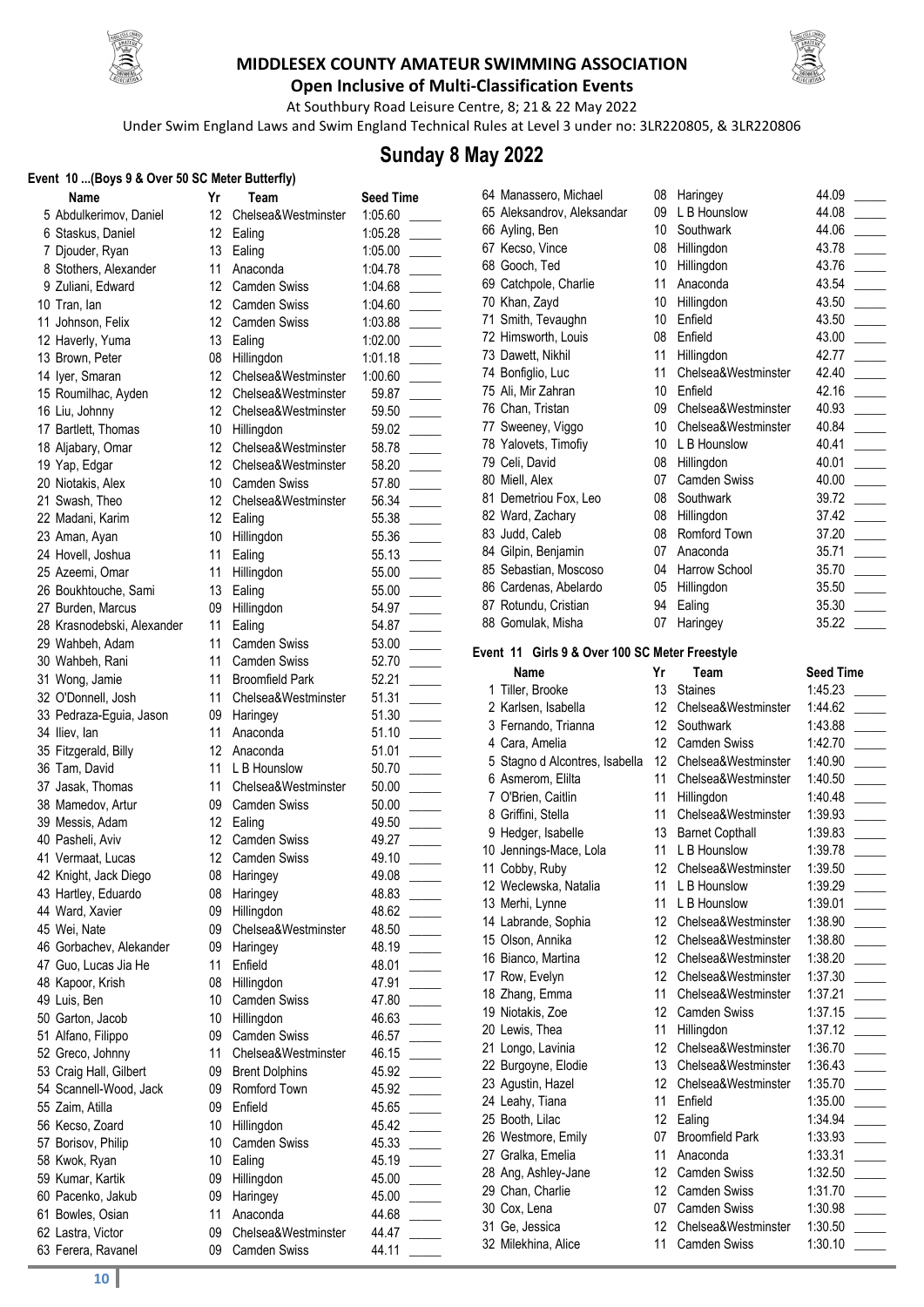

#### **MIDDLESEX COUNTY AMATEUR SWIMMING ASSOCIATION Open Inclusive of Multi-Classification Events**



At Southbury Road Leisure Centre, 8; 21& 22 May 2022

Under Swim England Laws and Swim England Technical Rules at Level 3 under no: 3LR220805, & 3LR220806

## **Sunday 8 May 2022**

#### **Event 10 ...(Boys 9 & Over 50 SC Meter Butterfly)**

| vent  10 (Boys 9 & Over 50 SC Meter Butterfly) |                 |                        |                  |
|------------------------------------------------|-----------------|------------------------|------------------|
| Name                                           | Yr              | Team                   | <b>Seed Time</b> |
| 5 Abdulkerimov, Daniel                         | 12              | Chelsea&Westminster    | 1:05.60          |
| 6 Staskus, Daniel                              | 12              | Ealing                 | 1:05.28          |
| 7 Djouder, Ryan                                | 13              | Ealing                 | 1:05.00          |
| 8 Stothers, Alexander                          | 11              | Anaconda               | 1:04.78          |
| 9 Zuliani, Edward                              | 12              | <b>Camden Swiss</b>    | 1:04.68          |
| 10 Tran, lan                                   | 12              | <b>Camden Swiss</b>    | 1:04.60          |
| 11 Johnson, Felix                              | 12              | <b>Camden Swiss</b>    | 1:03.88          |
| 12 Haverly, Yuma                               | 13              | Ealing                 | 1:02.00          |
| 13 Brown, Peter                                | 08              | Hillingdon             | 1:01.18          |
| 14 Iyer, Smaran                                | 12              | Chelsea&Westminster    | 1:00.60          |
| 15 Roumilhac, Ayden                            | 12              | Chelsea&Westminster    | 59.87            |
| 16 Liu, Johnny                                 | 12              | Chelsea&Westminster    | 59.50            |
| 17 Bartlett, Thomas                            | 10              | Hillingdon             | 59.02            |
| 18 Aljabary, Omar                              | 12              | Chelsea&Westminster    | 58.78            |
|                                                | 12              | Chelsea&Westminster    | 58.20            |
| 19 Yap, Edgar                                  | 10              | <b>Camden Swiss</b>    | 57.80            |
| 20 Niotakis, Alex                              | 12 <sup>°</sup> |                        |                  |
| 21 Swash, Theo                                 |                 | Chelsea&Westminster    | 56.34            |
| 22 Madani, Karim                               | 12 <sup>°</sup> | Ealing                 | 55.38            |
| 23 Aman, Ayan                                  | 10              | Hillingdon             | 55.36            |
| 24 Hovell, Joshua                              | 11              | Ealing                 | 55.13            |
| 25 Azeemi, Omar                                | 11              | Hillingdon             | 55.00            |
| 26 Boukhtouche, Sami                           | 13              | Ealing                 | 55.00            |
| 27 Burden, Marcus                              | 09              | Hillingdon             | 54.97            |
| 28 Krasnodebski, Alexander                     | 11              | Ealing                 | 54.87            |
| 29 Wahbeh, Adam                                | 11              | <b>Camden Swiss</b>    | 53.00            |
| 30 Wahbeh, Rani                                | 11              | <b>Camden Swiss</b>    | 52.70            |
| 31 Wong, Jamie                                 | 11              | <b>Broomfield Park</b> | 52.21            |
| 32 O'Donnell, Josh                             | 11              | Chelsea&Westminster    | 51.31            |
| 33 Pedraza-Eguia, Jason                        | 09              | Haringey               | 51.30            |
| 34 Iliev, lan                                  | 11              | Anaconda               | 51.10            |
| 35 Fitzgerald, Billy                           | 12              | Anaconda               | 51.01            |
| 36 Tam, David                                  | 11              | L B Hounslow           | 50.70            |
| 37 Jasak, Thomas                               | 11              | Chelsea&Westminster    | 50.00            |
| 38 Mamedov, Artur                              | 09              | <b>Camden Swiss</b>    | 50.00            |
| 39 Messis, Adam                                | 12 <sup>°</sup> | Ealing                 | 49.50            |
| 40 Pasheli, Aviv                               | 12              | Camden Swiss           | 49.27            |
| 41 Vermaat, Lucas                              | 12              | <b>Camden Swiss</b>    | 49.10            |
| 42 Knight, Jack Diego                          | 08              | Haringey               | 49.08            |
| 43 Hartley, Eduardo                            | 08              | Haringey               | 48.83            |
| 44 Ward, Xavier                                | 09              | Hillingdon             | 48.62            |
|                                                | 09              | Chelsea&Westminster    |                  |
| 45 Wei, Nate                                   | 09              |                        | 48.50            |
| 46 Gorbachev, Alekander                        |                 | Haringey               | 48.19            |
| 47 Guo, Lucas Jia He                           | 11              | Enfield                | 48.01            |
| 48 Kapoor, Krish                               | 08              | Hillingdon             | 47.91            |
| 49 Luis, Ben                                   | 10              | <b>Camden Swiss</b>    | 47.80            |
| 50 Garton, Jacob                               | 10              | Hillingdon             | 46.63            |
| 51 Alfano, Filippo                             | 09              | <b>Camden Swiss</b>    | 46.57            |
| 52 Greco, Johnny                               | 11              | Chelsea&Westminster    | 46.15            |
| 53 Craig Hall, Gilbert                         | 09              | <b>Brent Dolphins</b>  | 45.92            |
| 54 Scannell-Wood, Jack                         | 09              | Romford Town           | 45.92            |
| 55 Zaim, Atilla                                | 09              | Enfield                | 45.65            |
| 56 Kecso, Zoard                                | 10              | Hillingdon             | 45.42            |
| 57 Borisov, Philip                             | 10              | Camden Swiss           | 45.33            |
| 58 Kwok, Ryan                                  | 10              | Ealing                 | 45.19            |
| 59 Kumar, Kartik                               | 09              | Hillingdon             | 45.00            |
| 60 Pacenko, Jakub                              | 09              | Haringey               | 45.00            |
| 61 Bowles, Osian                               | 11              | Anaconda               | 44.68            |
| 62 Lastra, Victor                              | 09              | Chelsea&Westminster    | 44.47            |
| 63 Ferera, Ravanel                             | 09              | <b>Camden Swiss</b>    | 44.11            |
|                                                |                 |                        |                  |

| 64 Manassero, Michael                          | 08                    | Haringey                                   | 44.09              |  |
|------------------------------------------------|-----------------------|--------------------------------------------|--------------------|--|
| 65 Aleksandrov, Aleksandar                     | 09                    | L B Hounslow                               | 44.08              |  |
| 66 Ayling, Ben                                 | 10                    | Southwark                                  | 44.06              |  |
| 67 Kecso, Vince                                | 08                    | Hillingdon                                 | 43.78              |  |
| 68 Gooch, Ted                                  | 10                    | Hillingdon                                 | 43.76              |  |
| 69 Catchpole, Charlie                          | 11                    | Anaconda                                   | 43.54              |  |
| 70 Khan, Zayd                                  | 10                    | Hillingdon                                 | 43.50              |  |
| 71 Smith, Tevaughn                             | 10                    | Enfield                                    | 43.50              |  |
| 72 Himsworth, Louis                            | 08                    | Enfield                                    | 43.00              |  |
| 73 Dawett, Nikhil                              | 11                    | Hillingdon                                 | 42.77              |  |
| 74 Bonfiglio, Luc                              | 11                    | Chelsea&Westminster                        | 42.40              |  |
| 75 Ali, Mir Zahran                             |                       | 10 Enfield                                 | 42.16              |  |
| 76 Chan, Tristan                               | 09                    | Chelsea&Westminster                        | 40.93              |  |
| 77 Sweeney, Viggo                              | 10                    | Chelsea&Westminster                        | 40.84              |  |
| 78 Yalovets, Timofiy                           | 10                    | L B Hounslow                               | 40.41              |  |
| 79 Celi, David                                 | 08                    | Hillingdon                                 | 40.01              |  |
| 80 Miell, Alex                                 | 07                    | <b>Camden Swiss</b>                        | 40.00              |  |
| 81 Demetriou Fox, Leo                          | 08                    | Southwark                                  | 39.72              |  |
| 82 Ward, Zachary                               | 08                    | Hillingdon                                 | 37.42              |  |
| 83 Judd, Caleb                                 | 08                    | Romford Town                               | 37.20              |  |
| 84 Gilpin, Benjamin                            | 07                    | Anaconda                                   | 35.71              |  |
| 85 Sebastian, Moscoso                          |                       | 04 Harrow School                           | 35.70              |  |
| 86 Cardenas, Abelardo                          |                       | 05 Hillingdon                              | 35.50              |  |
| 87 Rotundu, Cristian                           | 94                    | Ealing                                     | 35.30              |  |
| 88 Gomulak, Misha                              | 07                    | Haringey                                   | 35.22              |  |
|                                                |                       |                                            |                    |  |
| Event 11 Girls 9 & Over 100 SC Meter Freestyle |                       |                                            |                    |  |
| Name                                           | Yr<br>13              | Team                                       | <b>Seed Time</b>   |  |
| 1 Tiller, Brooke                               | $12-12$               | <b>Staines</b>                             | 1:45.23            |  |
| 2 Karlsen, Isabella                            |                       | Chelsea&Westminster                        | 1:44.62            |  |
|                                                |                       |                                            |                    |  |
| 3 Fernando, Trianna                            | 12                    | Southwark                                  | 1:43.88            |  |
| 4 Cara, Amelia                                 | 12 <sup>°</sup>       | <b>Camden Swiss</b>                        | 1:42.70            |  |
| 5 Stagno d Alcontres, Isabella                 | 12 <sup>°</sup>       | Chelsea&Westminster                        | 1:40.90            |  |
| 6 Asmerom, Elilta                              | 11                    | Chelsea&Westminster                        | 1:40.50            |  |
| 7 O'Brien, Caitlin                             | 11                    | Hillingdon                                 | 1:40.48            |  |
| 8 Griffini, Stella                             | 11                    | Chelsea&Westminster                        | 1:39.93            |  |
| 9 Hedger, Isabelle                             |                       | 13 Barnet Copthall                         | 1:39.83            |  |
| 10 Jennings-Mace, Lola                         | 11                    | L B Hounslow                               | 1:39.78            |  |
| 11 Cobby, Ruby                                 | 12                    | Chelsea&Westminster                        | 1:39.50            |  |
| 12 Weclewska, Natalia                          |                       | 11 L B Hounslow                            | 1:39.29            |  |
| 13 Merhi, Lynne                                | 11                    | L B Hounslow                               | 1:39.01            |  |
| 14 Labrande, Sophia                            | 12 <sup>°</sup>       | Chelsea&Westminster                        | 1:38.90            |  |
| 15 Olson, Annika                               | 12 <sup>°</sup>       | Chelsea&Westminster                        | 1:38.80            |  |
| 16 Bianco, Martina                             | 12 <sup>°</sup>       | Chelsea&Westminster                        | 1:38.20            |  |
| 17 Row, Evelyn                                 | 12                    | Chelsea&Westminster                        | 1:37.30            |  |
| 18 Zhang, Emma                                 | 11                    | Chelsea&Westminster                        | 1:37.21            |  |
| 19 Niotakis, Zoe                               | 12                    | Camden Swiss                               | 1:37.15            |  |
| 20 Lewis, Thea                                 | 11                    | Hillingdon                                 | 1:37.12            |  |
| 21 Longo, Lavinia                              | 12                    | Chelsea&Westminster                        | 1:36.70            |  |
| 22 Burgoyne, Elodie                            | 13                    | Chelsea&Westminster                        | 1:36.43            |  |
| 23 Agustin, Hazel                              | 12                    | Chelsea&Westminster                        | 1:35.70            |  |
| 24 Leahy, Tiana                                | 11                    | Enfield                                    | 1:35.00            |  |
| 25 Booth, Lilac                                | 12                    | Ealing                                     | 1:34.94            |  |
| 26 Westmore, Emily                             | 07                    | <b>Broomfield Park</b>                     | 1:33.93            |  |
| 27 Gralka, Emelia                              | 11                    | Anaconda                                   | 1:33.31            |  |
| 28 Ang, Ashley-Jane                            | 12                    | <b>Camden Swiss</b>                        | 1:32.50            |  |
| 29 Chan, Charlie                               | 12                    | <b>Camden Swiss</b>                        | 1:31.70            |  |
| 30 Cox, Lena<br>31 Ge, Jessica                 | 07<br>12 <sup>°</sup> | <b>Camden Swiss</b><br>Chelsea&Westminster | 1:30.98<br>1:30.50 |  |

32 Milekhina, Alice 11 Camden Swiss 1:30.10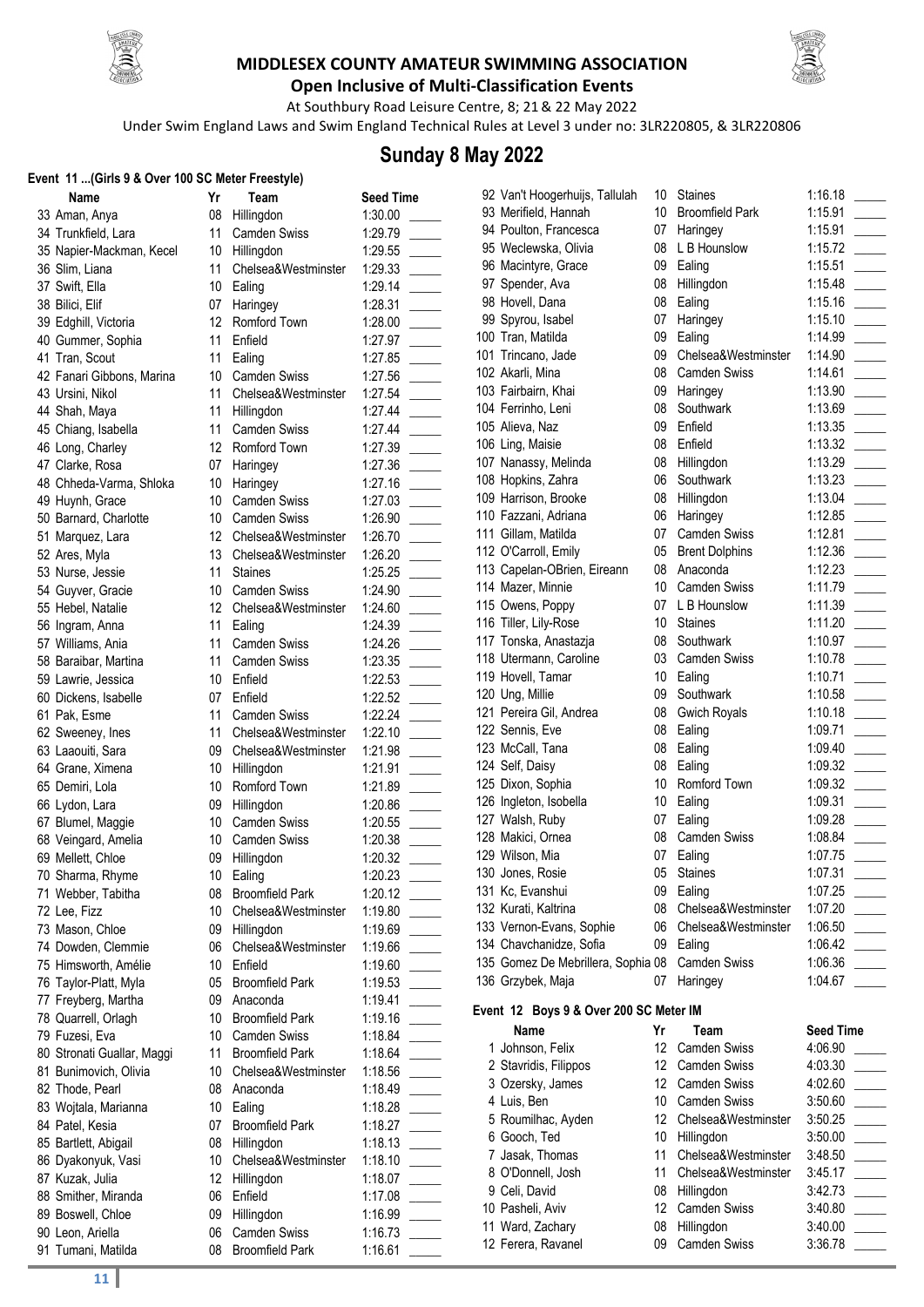

#### **MIDDLESEX COUNTY AMATEUR SWIMMING ASSOCIATION Open Inclusive of Multi-Classification Events**



At Southbury Road Leisure Centre, 8; 21& 22 May 2022

Under Swim England Laws and Swim England Technical Rules at Level 3 under no: 3LR220805, & 3LR220806

## **Sunday 8 May 2022**

#### **Event 11 ...(Girls 9 & Over 100 SC Meter Freestyle)**

| Name                       |
|----------------------------|
| 33 Aman, Anya              |
| 34 Trunkfield, Lara        |
| 35 Napier-Mackman, Kecel   |
| 36 Slim, Liana             |
| 37 Swift, Ella             |
| 38 Bilici, Elif            |
| 39 Edghill, Victoria       |
| 40 Gummer, Sophia          |
| 41 Tran, Scout             |
| 42 Fanari Gibbons, Marina  |
| 43 Ursini, Nikol           |
| 44 Shah, Maya              |
| 45 Chiang, Isabella        |
| 46 Long, Charley           |
| 47 Clarke, Rosa            |
| 48 Chheda-Varma, Shloka    |
| 49 Huynh, Grace            |
| 50 Barnard, Charlotte      |
| 51 Marquez, Lara           |
|                            |
| 52 Ares, Myla              |
| 53 Nurse, Jessie           |
| 54 Guyver, Gracie          |
| 55 Hebel, Natalie          |
| 56 Ingram, Anna            |
| 57 Williams, Ania          |
| 58 Baraibar, Martina       |
| 59 Lawrie, Jessica         |
| 60 Dickens, Isabelle       |
| 61 Pak, Esme               |
| 62 Sweeney, Ines           |
| 63 Laaouiti, Sara          |
| 64 Grane, Ximena           |
| 65 Demiri, Lola            |
| 66 Lydon, Lara             |
| 67 Blumel, Maggie          |
| 68 Veingard, Amelia        |
| 69 Mellett, Chloe          |
| 70 Sharma, Rhyme           |
| Webber, Tabitha<br>71      |
| 72 Lee, Fizz               |
| 73 Mason, Chloe            |
| 74 Dowden, Clemmie         |
| 75 Himsworth, Amélie       |
| 76 Taylor-Platt, Myla      |
| 77 Freyberg, Martha        |
| 78 Quarrell, Orlagh        |
| 79 Fuzesi, Eva             |
| 80 Stronati Guallar, Maggi |
| 81 Bunimovich, Olivia      |
| 82 Thode, Pearl            |
| Wojtala, Marianna<br>83    |
| 84 Patel, Kesia            |
| 85 Bartlett, Abigail       |
| 86 Dyakonyuk, Vasi         |
| 87 Kuzak, Julia            |
| 88 Smither, Miranda        |
| 89 Boswell, Chloe          |
| 90 Leon, Ariella           |
| Tumani, Matilda<br>91      |
|                            |

| יויי ייש<br>Name           | Yr              | 1.0000100<br>Team      | <b>Seed Time</b> |
|----------------------------|-----------------|------------------------|------------------|
| 33 Aman, Anya              | 08              | Hillingdon             | 1:30.00          |
| 34 Trunkfield, Lara        | 11              | <b>Camden Swiss</b>    | 1:29.79          |
| 35 Napier-Mackman, Kecel   | 10              | Hillingdon             | 1:29.55          |
| 36 Slim, Liana             | 11              | Chelsea&Westminster    | 1:29.33          |
| 37 Swift, Ella             | 10              | Ealing                 | 1:29.14          |
| 38 Bilici, Elif            | 07              | Haringey               | 1:28.31          |
| 39 Edghill, Victoria       | 12              | Romford Town           | 1:28.00          |
| 40 Gummer, Sophia          | 11              | Enfield                | 1:27.97          |
| 41 Tran, Scout             | 11              | Ealing                 | 1:27.85          |
| 42 Fanari Gibbons, Marina  | 10 <sup>°</sup> | <b>Camden Swiss</b>    | 1:27.56          |
| 43 Ursini, Nikol           | 11              | Chelsea&Westminster    | 1:27.54          |
| 44 Shah, Maya              | 11              | Hillingdon             | 1:27.44          |
| 45 Chiang, Isabella        | 11              | Camden Swiss           | 1:27.44          |
| 46 Long, Charley           | 12 <sup>°</sup> | Romford Town           | 1:27.39          |
| 47 Clarke, Rosa            | 07              | Haringey               | 1:27.36          |
| 48 Chheda-Varma, Shloka    | 10              | Haringey               | 1:27.16          |
| 49 Huynh, Grace            | 10              | Camden Swiss           | 1:27.03          |
| 50 Barnard, Charlotte      | 10              | <b>Camden Swiss</b>    | 1:26.90          |
| 51 Marquez, Lara           | 12 <sup>2</sup> | Chelsea&Westminster    | 1:26.70          |
| 52 Ares, Myla              | 13              | Chelsea&Westminster    | 1:26.20          |
| 53 Nurse, Jessie           | 11              | <b>Staines</b>         | 1:25.25          |
| 54 Guyver, Gracie          | 10              | <b>Camden Swiss</b>    | 1:24.90          |
| 55 Hebel, Natalie          | 12 <sup>2</sup> | Chelsea&Westminster    | 1:24.60          |
| 56 Ingram, Anna            | 11              | Ealing                 | 1:24.39          |
| 57 Williams, Ania          | 11              | Camden Swiss           | 1:24.26          |
| 58 Baraibar, Martina       | 11              | <b>Camden Swiss</b>    | 1:23.35          |
| 59 Lawrie, Jessica         | 10              | Enfield                | 1:22.53          |
| 60 Dickens, Isabelle       | 07              | Enfield                | 1:22.52          |
| 61 Pak, Esme               | 11              | <b>Camden Swiss</b>    | 1:22.24          |
| 62 Sweeney, Ines           | 11              | Chelsea&Westminster    | 1:22.10          |
| 63 Laaouiti, Sara          | 09              | Chelsea&Westminster    | 1:21.98          |
| 64 Grane, Ximena           | 10              | Hillingdon             | 1:21.91          |
| 65 Demiri, Lola            | 10              | Romford Town           | 1:21.89          |
| 66 Lydon, Lara             | 09              | Hillingdon             | 1:20.86          |
| 67 Blumel, Maggie          | 10              | <b>Camden Swiss</b>    | 1:20.55          |
| 68 Veingard, Amelia        | 10 <sup>°</sup> | <b>Camden Swiss</b>    | 1:20.38          |
| 69 Mellett, Chloe          | 09              | Hillingdon             | 1:20.32          |
| 70 Sharma, Rhyme           |                 | 10 Ealing              | 1:20.23          |
| 71 Webber, Tabitha         | 08              | <b>Broomfield Park</b> | 1:20.12          |
| 72 Lee, Fizz               | 10              | Chelsea&Westminster    | 1:19.80          |
| 73 Mason, Chloe            | 09              | Hillingdon             | 1:19.69          |
| 74 Dowden, Clemmie         | 06              | Chelsea&Westminster    | 1:19.66          |
| 75 Himsworth, Amélie       | 10              | Enfield                | 1:19.60          |
| 76 Taylor-Platt, Myla      | 05              | <b>Broomfield Park</b> | 1:19.53          |
| 77 Freyberg, Martha        | 09              | Anaconda               | 1:19.41          |
| 78 Quarrell, Orlagh        | 10              | <b>Broomfield Park</b> | 1:19.16          |
| 79 Fuzesi, Eva             | 10              | <b>Camden Swiss</b>    | 1:18.84          |
| 80 Stronati Guallar, Maggi | 11              | <b>Broomfield Park</b> | 1:18.64          |
| 81 Bunimovich, Olivia      | 10              | Chelsea&Westminster    | 1:18.56          |
| 82 Thode, Pearl            | 08              | Anaconda               | 1:18.49          |
| 83 Wojtala, Marianna       | 10              | Ealing                 | 1:18.28          |
| 84 Patel, Kesia            | 07              | <b>Broomfield Park</b> | 1:18.27          |
| 85 Bartlett, Abigail       | 08              | Hillingdon             | 1:18.13          |
| 86 Dyakonyuk, Vasi         | 10              | Chelsea&Westminster    | 1:18.10          |
| 87 Kuzak, Julia            | 12              | Hillingdon             | 1:18.07          |
| 88 Smither, Miranda        | 06              | Enfield                | 1:17.08          |
| 89 Boswell, Chloe          | 09              | Hillingdon             | 1:16.99          |
| 90 Leon, Ariella           | 06              | <b>Camden Swiss</b>    | 1:16.73          |
| 91 Tumani, Matilda         | 08              | <b>Broomfield Park</b> | 1:16.61          |

| 92 Van't Hoogerhuijs, Tallulah                 | 10              | <b>Staines</b>              | 1:16.18          |  |
|------------------------------------------------|-----------------|-----------------------------|------------------|--|
| 93 Merifield, Hannah                           | 10 <sup>1</sup> | <b>Broomfield Park</b>      | 1:15.91          |  |
| 94 Poulton, Francesca                          | 07              | Haringey                    | 1:15.91          |  |
| 95 Weclewska, Olivia                           | 08              | L B Hounslow                | 1:15.72          |  |
| 96 Macintyre, Grace                            | 09              | Ealing                      | 1:15.51          |  |
| 97 Spender, Ava                                | 08              | Hillingdon                  | 1:15.48          |  |
| 98 Hovell, Dana                                | 08              | Ealing                      | 1:15.16          |  |
| 99 Spyrou, Isabel                              | 07              | Haringey                    | 1:15.10          |  |
| 100 Tran, Matilda                              | 09              | Ealing                      | 1:14.99          |  |
| 101 Trincano, Jade                             | 09              | Chelsea&Westminster         | 1:14.90          |  |
| 102 Akarli, Mina                               | 08              | <b>Camden Swiss</b>         | 1:14.61          |  |
| 103 Fairbairn, Khai                            | 09              | Haringey                    | 1:13.90          |  |
| 104 Ferrinho, Leni                             | 08              | Southwark                   | 1:13.69          |  |
| 105 Alieva, Naz                                | 09              | Enfield                     | 1:13.35          |  |
| 106 Ling, Maisie                               | 08              | Enfield                     | 1:13.32          |  |
| 107 Nanassy, Melinda                           | 80              | Hillingdon                  | 1:13.29          |  |
| 108 Hopkins, Zahra                             | 06              | Southwark                   | 1:13.23          |  |
| 109 Harrison, Brooke                           | 08              | Hillingdon                  | 1:13.04          |  |
| 110 Fazzani, Adriana                           | 06              | Haringey                    | 1:12.85          |  |
| 111 Gillam, Matilda                            | 07              | <b>Camden Swiss</b>         | 1:12.81          |  |
| 112 O'Carroll, Emily                           | 05              | <b>Brent Dolphins</b>       | 1:12.36          |  |
| 113 Capelan-OBrien, Eireann                    | 08              | Anaconda                    | 1:12.23          |  |
| 114 Mazer, Minnie                              | 10 <sup>°</sup> | <b>Camden Swiss</b>         | 1:11.79          |  |
| 115 Owens, Poppy                               | 07              | L B Hounslow                | 1:11.39          |  |
| 116 Tiller, Lily-Rose                          | 10 <sup>°</sup> | <b>Staines</b>              | 1:11.20          |  |
| 117 Tonska, Anastazja                          | 08              | Southwark                   | 1:10.97          |  |
| 118 Utermann, Caroline                         | 03              | <b>Camden Swiss</b>         | 1:10.78          |  |
| 119 Hovell, Tamar                              |                 | 10 Ealing                   | 1:10.71          |  |
| 120 Ung, Millie                                | 09              | Southwark                   | 1:10.58          |  |
| 121 Pereira Gil, Andrea                        | 08              | <b>Gwich Royals</b>         | 1:10.18          |  |
| 122 Sennis, Eve                                | 08              | Ealing                      | 1:09.71          |  |
| 123 McCall, Tana                               | 08              | Ealing                      | 1:09.40          |  |
| 124 Self, Daisy                                | 08              | Ealing                      | 1:09.32          |  |
| 125 Dixon, Sophia                              | 10              | Romford Town                | 1:09.32          |  |
| 126 Ingleton, Isobella                         | 10              | Ealing                      | 1:09.31          |  |
| 127 Walsh, Ruby                                | 07              | Ealing                      | 1:09.28          |  |
| 128 Makici, Ornea                              | 08              | <b>Camden Swiss</b>         | 1:08.84          |  |
| 129 Wilson, Mia                                | 07              | Ealing                      | 1:07.75          |  |
| 130 Jones, Rosie                               | 05              | <b>Staines</b>              | 1:07.31          |  |
| 131 Kc, Evanshui                               | 09              | Ealing                      | 1:07.25          |  |
| 132 Kurati, Kaltrina                           | 08              | Chelsea&Westminster         | 1:07.20          |  |
| 133 Vernon-Evans, Sophie                       | 06              | Chelsea&Westminster         | 1:06.50          |  |
| 134 Chavchanidze, Sofia                        | 09              | Ealing                      | 1:06.42          |  |
| 135 Gomez De Mebrillera, Sophia 08             |                 | Camden Swiss                | 1:06.36          |  |
| 136 Grzybek, Maja                              | 07              | Haringey                    | 1:04.67          |  |
|                                                |                 |                             |                  |  |
| Event 12 Boys 9 & Over 200 SC Meter IM<br>Name | Yr              |                             | <b>Seed Time</b> |  |
| 1 Johnson, Felix                               | 12              | Team<br><b>Camden Swiss</b> | 4:06.90          |  |
| 2 Stavridis, Filippos                          | 12 <sup>°</sup> | <b>Camden Swiss</b>         | 4:03.30          |  |
| 3 Ozersky, James                               | 12              | <b>Camden Swiss</b>         | 4:02.60          |  |
| 4 Luis, Ben                                    | 10              | <b>Camden Swiss</b>         | 3:50.60          |  |
| 5 Roumilhac, Ayden                             | 12 <sup>°</sup> | Chelsea&Westminster         | 3:50.25          |  |
| 6 Gooch, Ted                                   | 10              | Hillingdon                  | 3:50.00          |  |
| 7 Jasak, Thomas                                | 11              | Chelsea&Westminster         | 3:48.50          |  |
| 8 O'Donnell, Josh                              | 11              | Chelsea&Westminster         | 3:45.17          |  |
| 9 Celi, David                                  | 08              | Hillingdon                  | 3:42.73          |  |
| 10 Pasheli, Aviv                               | 12              | Camden Swiss                | 3:40.80          |  |
| 11 Ward, Zachary                               | 08              | Hillingdon                  | 3:40.00          |  |
|                                                |                 |                             |                  |  |

| 93 Merifield, Hannah                             | 10              | <b>Broomfield Park</b>                     | 1:15.91            |  |
|--------------------------------------------------|-----------------|--------------------------------------------|--------------------|--|
| 94 Poulton, Francesca                            | 07 -            | Haringey                                   | 1:15.91            |  |
| 95 Weclewska, Olivia                             | 08              | L B Hounslow                               | 1:15.72            |  |
| 96 Macintyre, Grace                              | 09              | Ealing                                     | 1:15.51            |  |
| 97 Spender, Ava                                  | 08              | Hillingdon                                 | 1:15.48            |  |
| 98 Hovell, Dana                                  | 08              | Ealing                                     | 1:15.16            |  |
| 99 Spyrou, Isabel                                | 07              | Haringey                                   | 1:15.10            |  |
| 100 Tran, Matilda                                | 09              | Ealing                                     | 1:14.99            |  |
| 101 Trincano, Jade                               | 09              | Chelsea&Westminster                        | 1:14.90            |  |
| 102 Akarli, Mina                                 | 08              | <b>Camden Swiss</b>                        | 1:14.61            |  |
| 103 Fairbairn, Khai                              | 09              | Haringey                                   | 1:13.90            |  |
| 104 Ferrinho, Leni                               | 08              | Southwark                                  | 1:13.69            |  |
| 105 Alieva, Naz                                  | 09              | Enfield                                    | 1:13.35            |  |
| 106 Ling, Maisie                                 | 08              | Enfield                                    | 1:13.32            |  |
| 107 Nanassy, Melinda                             | 08              | Hillingdon                                 | 1:13.29            |  |
| 108 Hopkins, Zahra                               | 06              | Southwark                                  | 1:13.23            |  |
| 109 Harrison, Brooke                             | 08              | Hillingdon                                 | 1:13.04            |  |
| 110 Fazzani, Adriana                             | 06              | Haringey                                   | 1:12.85            |  |
| 111 Gillam, Matilda                              | 07              | Camden Swiss                               | 1:12.81            |  |
| 112 O'Carroll, Emily                             | 05              | <b>Brent Dolphins</b>                      | 1:12.36            |  |
| 113 Capelan-OBrien, Eireann                      | 08              | Anaconda                                   | 1:12.23            |  |
| 114 Mazer, Minnie                                | 10              | Camden Swiss                               | 1:11.79            |  |
| 115 Owens, Poppy                                 | 07 -            | L B Hounslow                               | 1:11.39            |  |
| 116 Tiller, Lily-Rose                            | 10              | <b>Staines</b>                             | 1:11.20            |  |
| 117 Tonska, Anastazja                            | 08              | Southwark                                  | 1:10.97            |  |
| 118 Utermann, Caroline                           | 03              | <b>Camden Swiss</b>                        | 1:10.78            |  |
| 119 Hovell, Tamar                                | 10 <sup>1</sup> | Ealing                                     | 1:10.71            |  |
| 120 Ung, Millie                                  | 09              | Southwark                                  | 1:10.58            |  |
| 121 Pereira Gil, Andrea                          | 08              | <b>Gwich Royals</b>                        | 1:10.18            |  |
| 122 Sennis, Eve                                  | 08              | Ealing                                     | 1:09.71            |  |
| 123 McCall, Tana                                 | 08              | Ealing                                     | 1:09.40            |  |
| 124 Self, Daisy                                  | 08              | Ealing                                     | 1:09.32            |  |
| 125 Dixon, Sophia                                | 10              | Romford Town                               | 1:09.32            |  |
| 126 Ingleton, Isobella                           | 10 <sup>1</sup> | Ealing                                     | 1:09.31            |  |
| 127 Walsh, Ruby                                  | 07              | Ealing                                     | 1:09.28            |  |
| 128 Makici, Ornea<br>129 Wilson, Mia             | 08              | Camden Swiss                               | 1:08.84            |  |
| 130 Jones, Rosie                                 | 07<br>05        | Ealing<br><b>Staines</b>                   | 1:07.75            |  |
|                                                  | 09              | Ealing                                     | 1:07.31<br>1:07.25 |  |
| 131 Kc, Evanshui                                 | 08              |                                            | 1:07.20            |  |
| 132 Kurati, Kaltrina<br>133 Vernon-Evans, Sophie | 06              | Chelsea&Westminster<br>Chelsea&Westminster | 1:06.50            |  |
| 134 Chavchanidze, Sofia                          | 09              | Ealing                                     | 1:06.42            |  |
| 135 Gomez De Mebrillera, Sophia 08               |                 | <b>Camden Swiss</b>                        | 1:06.36            |  |
|                                                  | 07              |                                            | 1:04.67            |  |
| 136 Grzybek, Maja                                |                 | Haringey                                   |                    |  |
| Event 12 Boys 9 & Over 200 SC Meter IM           |                 |                                            |                    |  |
| Name                                             | Yr              | Team                                       | <b>Seed Time</b>   |  |
| 1 Johnson, Felix                                 | 12              | <b>Camden Swiss</b>                        | 4:06.90            |  |
| 2 Stavridis, Filippos                            | 12              | <b>Camden Swiss</b>                        | 4:03.30            |  |
| 3 Ozersky, James                                 | 12              | <b>Camden Swiss</b>                        | 4:02.60            |  |
| 4 Luis, Ben                                      | 10              | <b>Camden Swiss</b>                        | 3:50.60            |  |

12 Ferera, Ravanel **09 Camden Swiss** 3:36.78